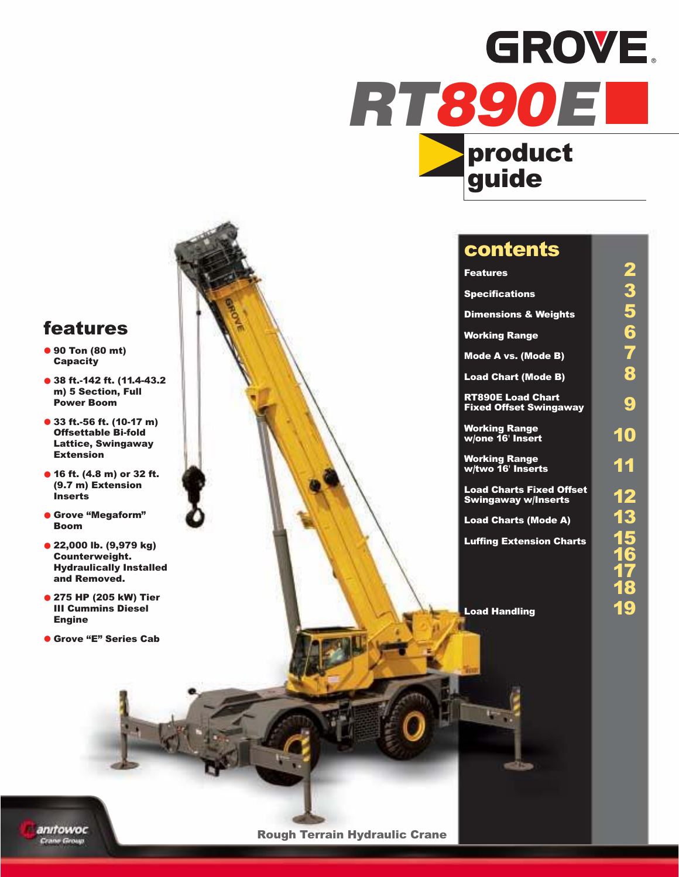## GROVE. **RT890EL** product



### contents

| <u>Fe</u> atures                                              |                      |
|---------------------------------------------------------------|----------------------|
| Specifications                                                |                      |
| <b>Dimensions &amp; Weights</b>                               |                      |
| <b>Working Range</b>                                          | $\ddot{\phantom{0}}$ |
| Mode A vs. (Mode B)                                           |                      |
| <b>Load Chart (Mode B)</b>                                    | $\ddot{\bullet}$     |
| <b>RT890E Load Chart</b><br><b>Fixed Offset Swingaway</b>     | پ                    |
| <b>Working Range</b><br>w/one 16' Insert                      | 10                   |
| <b>Working Range</b><br>w/two 16' Inserts                     | 11                   |
| <b>Load Charts Fixed Offset</b><br><b>Swingaway w/Inserts</b> |                      |
| <b>Load Charts (Mode A)</b>                                   |                      |
| <b>Luffing Extension Charts</b>                               |                      |
|                                                               |                      |

Load Handling **19** 

#### features

- **•** 90 Ton (80 mt) **Capacity**
- **•** <sup>38</sup> ft.-142 ft. (11.4-43.2 m) 5 Section, Full Power Boom
- **•** 33 ft.-56 ft. (10-17 m) Offsettable Bi-fold Lattice, Swingaway Extension
- **•** <sup>16</sup> ft. (4.8 m) or 32 ft. (9.7 m) Extension Inserts
- **•** Grove "Megaform" Boom
- **•** 22,000 lb. (9,979 kg) Counterweight. Hydraulically Installed and Removed.
- **•** 275 HP (205 kW) Tier III Cummins Diesel Engine
- **•** Grove "E" Series Cab

anitowoc Crane Group

Rough Terrain Hydraulic Crane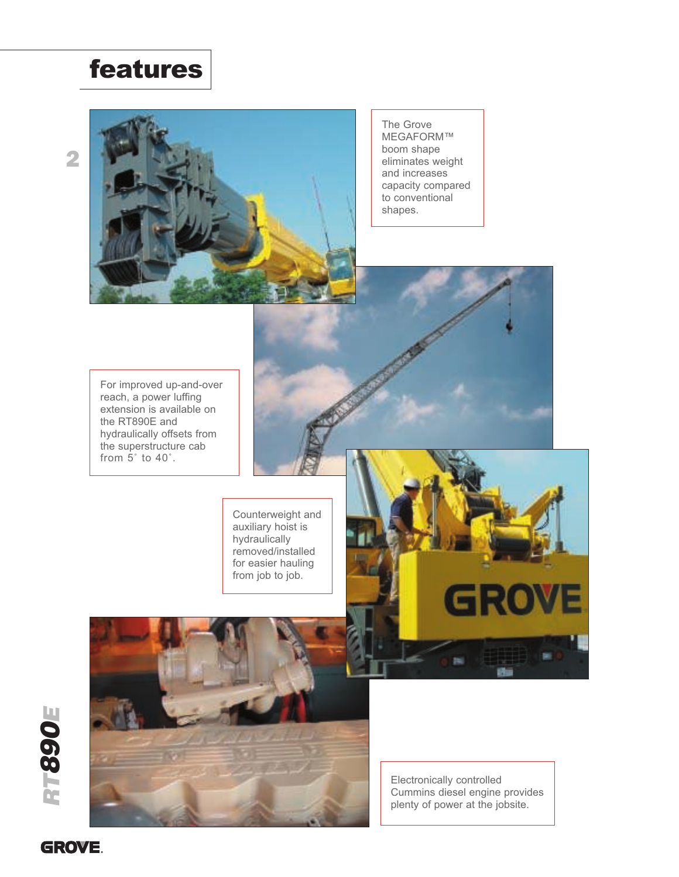## features



The Grove MEGAFORM™ boom shape eliminates weight and increases capacity compared to conventional shapes.

For improved up-and-over reach, a power luffing extension is available on the RT890E and hydraulically offsets from the superstructure cab from  $5^\circ$  to  $40^\circ$ .

> Counterweight and auxiliary hoist is hydraulically removed/installed for easier hauling from job to job.





Electronically controlled Cummins diesel engine provides plenty of power at the jobsite.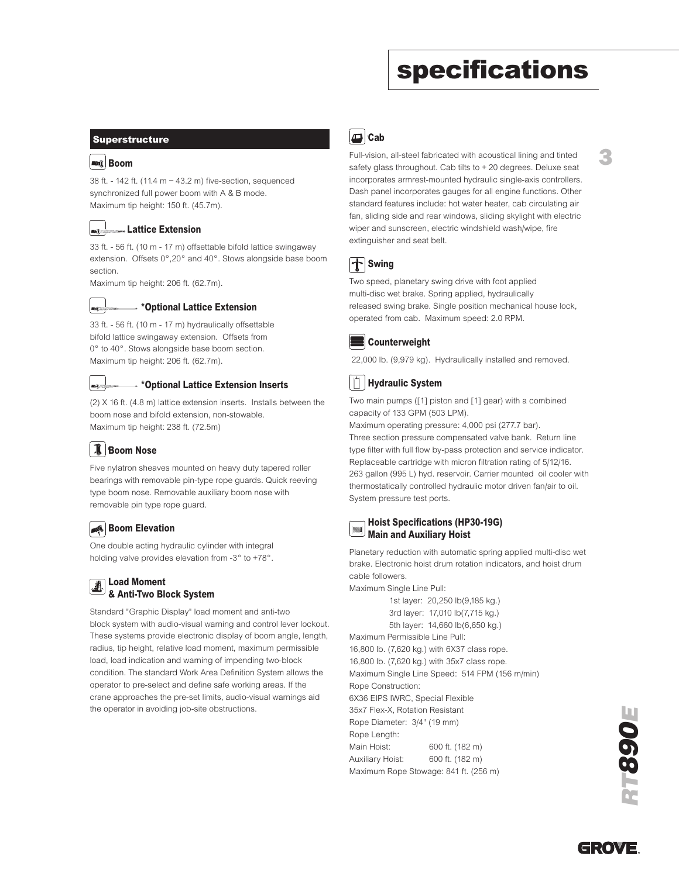## specifications

#### Superstructure

#### **ANG** Boom

38 ft. - 142 ft. (11.4 m – 43.2 m) five-section, sequenced synchronized full power boom with A & B mode. Maximum tip height: 150 ft. (45.7m).

#### Lattice Extension

33 ft. - 56 ft. (10 m - 17 m) offsettable bifold lattice swingaway extension. Offsets 0°,20° and 40°. Stows alongside base boom section.

Maximum tip height: 206 ft. (62.7m).



#### \*Optional Lattice Extension

33 ft. - 56 ft. (10 m - 17 m) hydraulically offsettable bifold lattice swingaway extension. Offsets from 0° to 40°. Stows alongside base boom section. Maximum tip height: 206 ft. (62.7m).



#### \*Optional Lattice Extension Inserts

(2) X 16 ft. (4.8 m) lattice extension inserts. Installs between the boom nose and bifold extension, non-stowable. Maximum tip height: 238 ft. (72.5m)

#### Boom Nose **B**

Five nylatron sheaves mounted on heavy duty tapered roller bearings with removable pin-type rope guards. Quick reeving type boom nose. Removable auxiliary boom nose with removable pin type rope guard.

#### **Boom Elevation**

One double acting hydraulic cylinder with integral holding valve provides elevation from -3° to +78°.

#### Load Moment & Anti-Two Block System

Standard "Graphic Display" load moment and anti-two block system with audio-visual warning and control lever lockout. These systems provide electronic display of boom angle, length, radius, tip height, relative load moment, maximum permissible load, load indication and warning of impending two-block condition. The standard Work Area Definition System allows the operator to pre-select and define safe working areas. If the crane approaches the pre-set limits, audio-visual warnings aid the operator in avoiding job-site obstructions.



#### Full-vision, all-steel fabricated with acoustical lining and tinted safety glass throughout. Cab tilts to + 20 degrees. Deluxe seat incorporates armrest-mounted hydraulic single-axis controllers. Dash panel incorporates gauges for all engine functions. Other standard features include: hot water heater, cab circulating air fan, sliding side and rear windows, sliding skylight with electric wiper and sunscreen, electric windshield wash/wipe, fire extinguisher and seat belt.



Two speed, planetary swing drive with foot applied multi-disc wet brake. Spring applied, hydraulically released swing brake. Single position mechanical house lock, operated from cab. Maximum speed: 2.0 RPM.



22,000 lb. (9,979 kg). Hydraulically installed and removed.

#### Hydraulic System

Two main pumps ([1] piston and [1] gear) with a combined capacity of 133 GPM (503 LPM).

Maximum operating pressure: 4,000 psi (277.7 bar). Three section pressure compensated valve bank. Return line type filter with full flow by-pass protection and service indicator. Replaceable cartridge with micron filtration rating of 5/12/16. 263 gallon (995 L) hyd. reservoir. Carrier mounted oil cooler with thermostatically controlled hydraulic motor driven fan/air to oil. System pressure test ports.

#### Hoist Specifications (HP30-19G) Main and Auxiliary Hoist

Planetary reduction with automatic spring applied multi-disc wet brake. Electronic hoist drum rotation indicators, and hoist drum cable followers.

Maximum Single Line Pull:

1st layer: 20,250 lb(9,185 kg.) 3rd layer: 17,010 lb(7,715 kg.) 5th layer: 14,660 lb(6,650 kg.) Maximum Permissible Line Pull: 16,800 lb. (7,620 kg.) with 6X37 class rope. 16,800 lb. (7,620 kg.) with 35x7 class rope. Maximum Single Line Speed: 514 FPM (156 m/min) Rope Construction: 6X36 EIPS IWRC, Special Flexible 35x7 Flex-X, Rotation Resistant Rope Diameter: 3/4" (19 mm)

Rope Length: Main Hoist: 600 ft. (182 m) Auxiliary Hoist: 600 ft. (182 m) Maximum Rope Stowage: 841 ft. (256 m)





3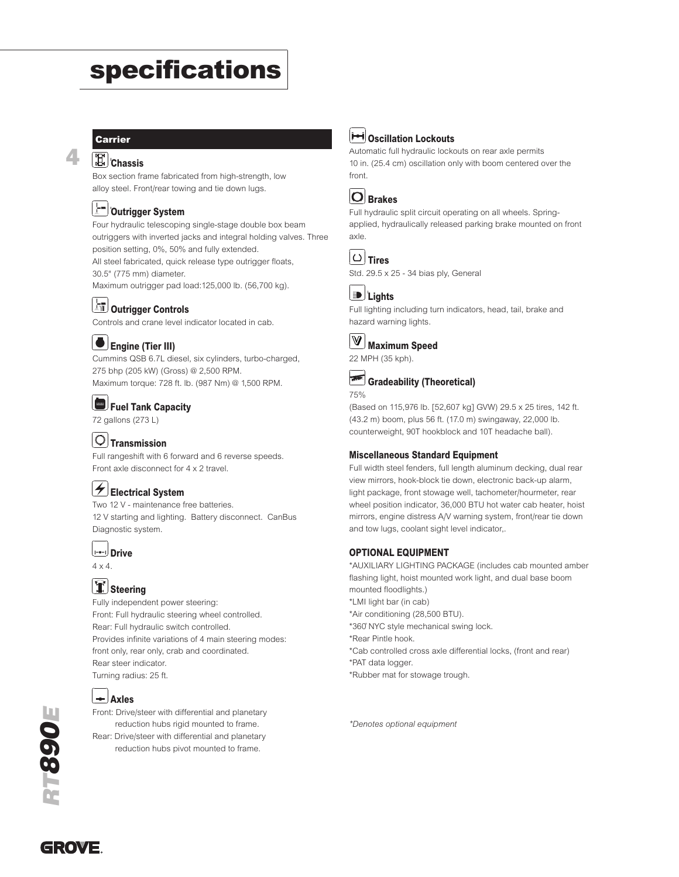## specifications

#### Carrier

4

#### **Chassis**

Box section frame fabricated from high-strength, low alloy steel. Front/rear towing and tie down lugs.

#### Outrigger System **O**

Four hydraulic telescoping single-stage double box beam outriggers with inverted jacks and integral holding valves. Three position setting, 0%, 50% and fully extended.

All steel fabricated, quick release type outrigger floats, 30.5" (775 mm) diameter.

Maximum outrigger pad load:125,000 lb. (56,700 kg).

#### **Outrigger Controls**

Controls and crane level indicator located in cab.

#### Engine (Tier III)

Cummins QSB 6.7L diesel, six cylinders, turbo-charged, 275 bhp (205 kW) (Gross) @ 2,500 RPM. Maximum torque: 728 ft. lb. (987 Nm) @ 1,500 RPM.

#### Fuel Tank Capacity

72 gallons (273 L)

#### $|O|$ Transmission

Full rangeshift with 6 forward and 6 reverse speeds. Front axle disconnect for 4 x 2 travel.

#### $\vert \angle$  Electrical System

Two 12 V - maintenance free batteries. 12 V starting and lighting. Battery disconnect. CanBus Diagnostic system.

#### **Drive**

 $4 \times 4$ .

#### II Steering

Fully independent power steering: Front: Full hydraulic steering wheel controlled. Rear: Full hydraulic switch controlled. Provides infinite variations of 4 main steering modes: front only, rear only, crab and coordinated. Rear steer indicator. Turning radius: 25 ft.



#### $\leftarrow$  Axles

Front: Drive/steer with differential and planetary reduction hubs rigid mounted to frame. Rear: Drive/steer with differential and planetary reduction hubs pivot mounted to frame.



#### **Devillation Lockouts**

Automatic full hydraulic lockouts on rear axle permits 10 in. (25.4 cm) oscillation only with boom centered over the front.

| л    |
|------|
| вган |

Full hydraulic split circuit operating on all wheels. Springapplied, hydraulically released parking brake mounted on front axle.







Full lighting including turn indicators, head, tail, brake and hazard warning lights.



22 MPH (35 kph).

#### Gradeability (Theoretical) 75%

(Based on 115,976 lb. [52,607 kg] GVW) 29.5 x 25 tires, 142 ft. (43.2 m) boom, plus 56 ft. (17.0 m) swingaway, 22,000 lb. counterweight, 90T hookblock and 10T headache ball).

#### Miscellaneous Standard Equipment

Full width steel fenders, full length aluminum decking, dual rear view mirrors, hook-block tie down, electronic back-up alarm, light package, front stowage well, tachometer/hourmeter, rear wheel position indicator, 36,000 BTU hot water cab heater, hoist mirrors, engine distress A/V warning system, front/rear tie down and tow lugs, coolant sight level indicator,.

#### OPTIONAL EQUIPMENT

\*AUXILIARY LIGHTING PACKAGE (includes cab mounted amber flashing light, hoist mounted work light, and dual base boom mounted floodlights.) \*LMI light bar (in cab) \*Air conditioning (28,500 BTU). \*360˚ NYC style mechanical swing lock. \*Rear Pintle hook. \*Cab controlled cross axle differential locks, (front and rear) \*PAT data logger. \*Rubber mat for stowage trough.

\*Denotes optional equipment



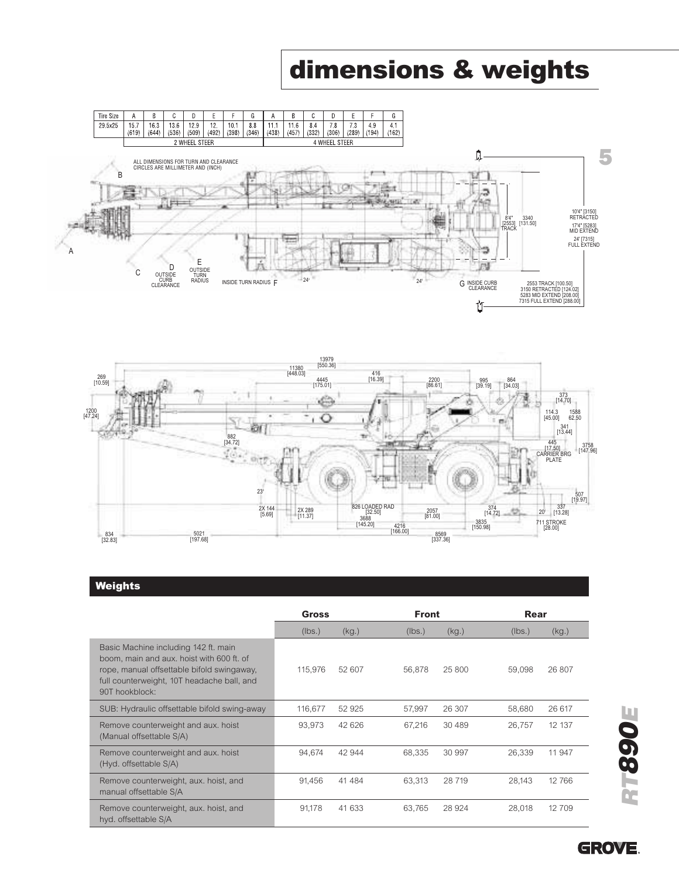## dimensions & weights





#### Weights

|                                                                                                                                                                                                 | Gross   |        | <b>Front</b> |         | Rear   |        |
|-------------------------------------------------------------------------------------------------------------------------------------------------------------------------------------------------|---------|--------|--------------|---------|--------|--------|
|                                                                                                                                                                                                 | (lbs.)  | (kg)   | (lbs.)       | (kg)    | (lbs.) | (kg.)  |
| Basic Machine including 142 ft. main<br>boom, main and aux, hoist with 600 ft, of<br>rope, manual offsettable bifold swingaway,<br>full counterweight, 10T headache ball, and<br>90T hookblock: | 115.976 | 52 607 | 56,878       | 25 800  | 59,098 | 26 807 |
| SUB: Hydraulic offsettable bifold swing-away                                                                                                                                                    | 116,677 | 52 925 | 57,997       | 26 307  | 58,680 | 26 617 |
| Remove counterweight and aux. hoist<br>(Manual offsettable S/A)                                                                                                                                 | 93,973  | 42 626 | 67,216       | 30 489  | 26,757 | 12 137 |
| Remove counterweight and aux. hoist<br>(Hyd. offsettable S/A)                                                                                                                                   | 94.674  | 42 944 | 68,335       | 30 997  | 26.339 | 11 947 |
| Remove counterweight, aux. hoist, and<br>manual offsettable S/A                                                                                                                                 | 91,456  | 41 484 | 63,313       | 28 719  | 28.143 | 12766  |
| Remove counterweight, aux. hoist, and<br>hyd. offsettable S/A                                                                                                                                   | 91.178  | 41 633 | 63.765       | 28 9 24 | 28,018 | 12709  |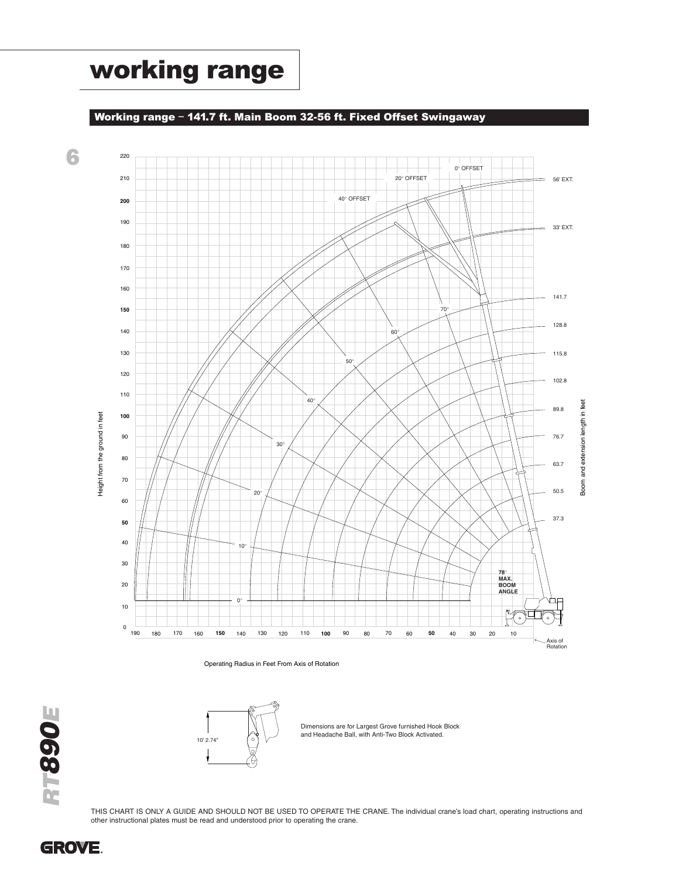## working range

#### Working range – 141.7 ft. Main Boom 32-56 ft. Fixed Offset Swingaway



Operating Radius in Feet From Axis of Rotation



Dimensions are for Largest Grove furnished Hook Block and Headache Ball, with Anti-Two Block Activated.

RTE

THIS CHART IS ONLY A GUIDE AND SHOULD NOT BE USED TO OPERATE THE CRANE. The individual crane's load chart, operating instructions and other instructional plates must be read and understood prior to operating the crane.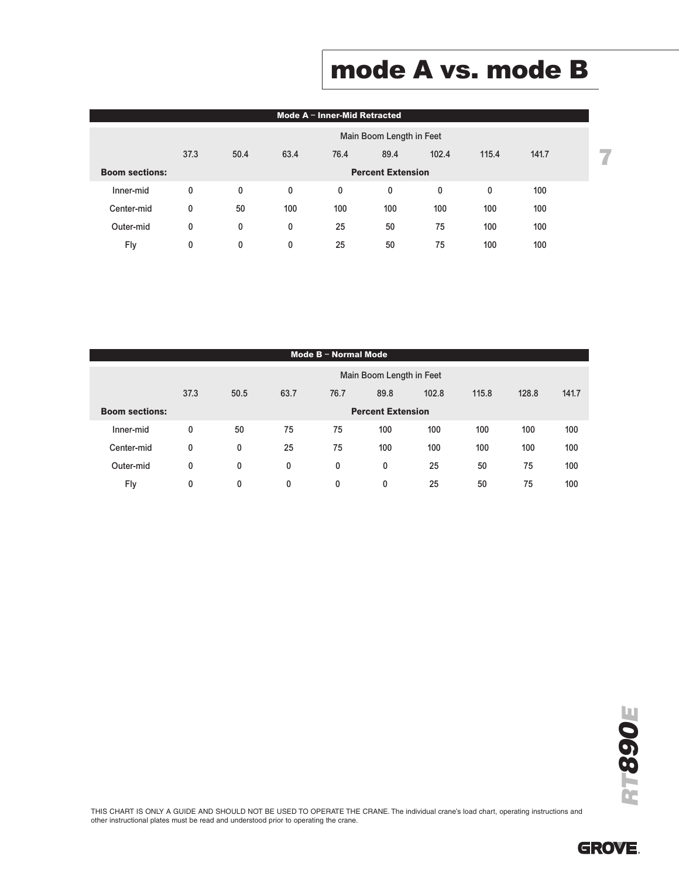## mode A vs. mode B

|                       | Mode $A - Inner$ -Mid Retracted |                          |      |      |      |       |       |       |  |  |  |  |  |
|-----------------------|---------------------------------|--------------------------|------|------|------|-------|-------|-------|--|--|--|--|--|
|                       | Main Boom Length in Feet        |                          |      |      |      |       |       |       |  |  |  |  |  |
|                       | 37.3                            | 50.4                     | 63.4 | 76.4 | 89.4 | 102.4 | 115.4 | 141.7 |  |  |  |  |  |
| <b>Boom sections:</b> |                                 | <b>Percent Extension</b> |      |      |      |       |       |       |  |  |  |  |  |
| Inner-mid             | 0                               | 0                        | 0    | 0    | 0    | 0     | 0     | 100   |  |  |  |  |  |
| Center-mid            | 0                               | 50                       | 100  | 100  | 100  | 100   | 100   | 100   |  |  |  |  |  |
| Outer-mid             | 0                               | 0                        | 0    | 25   | 50   | 75    | 100   | 100   |  |  |  |  |  |
| Fly                   | 0                               | 0                        | 0    | 25   | 50   | 75    | 100   | 100   |  |  |  |  |  |

|                       | Mode B - Normal Mode     |                          |      |              |      |       |       |       |       |  |  |
|-----------------------|--------------------------|--------------------------|------|--------------|------|-------|-------|-------|-------|--|--|
|                       | Main Boom Length in Feet |                          |      |              |      |       |       |       |       |  |  |
|                       | 37.3                     | 50.5                     | 63.7 | 76.7         | 89.8 | 102.8 | 115.8 | 128.8 | 141.7 |  |  |
| <b>Boom sections:</b> |                          | <b>Percent Extension</b> |      |              |      |       |       |       |       |  |  |
| Inner-mid             | 0                        | 50                       | 75   | 75           | 100  | 100   | 100   | 100   | 100   |  |  |
| Center-mid            | 0                        | 0                        | 25   | 75           | 100  | 100   | 100   | 100   | 100   |  |  |
| Outer-mid             | 0                        | 0                        | 0    | 0            | 0    | 25    | 50    | 75    | 100   |  |  |
| Fly                   | 0                        | 0                        | 0    | $\mathbf{0}$ | 0    | 25    | 50    | 75    | 100   |  |  |

RT890E

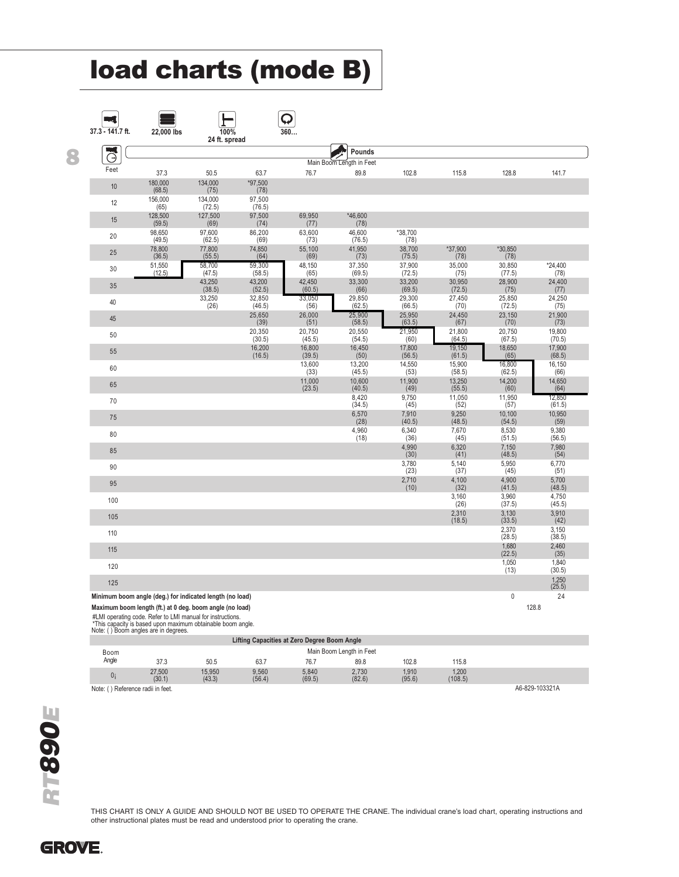## load charts (mode B)

| 37.3 - 141.7 ft.    | 22,000 lbs                                               | 100%<br>24 ft. spread |                  | 360              |                          |                  |                  |                  |                  |
|---------------------|----------------------------------------------------------|-----------------------|------------------|------------------|--------------------------|------------------|------------------|------------------|------------------|
| ایت                 |                                                          |                       |                  |                  | Pounds                   |                  |                  |                  |                  |
| $(\exists)$<br>Feet |                                                          |                       |                  |                  | Main Boom Length in Feet |                  |                  |                  |                  |
|                     | 37.3<br>180,000                                          | 50.5<br>134,000       | 63.7<br>*97.500  | 76.7             | 89.8                     | 102.8            | 115.8            | 128.8            | 141.7            |
| 10                  | (68.5)                                                   | (75)                  | (78)             |                  |                          |                  |                  |                  |                  |
| 12                  | 156,000<br>(65)                                          | 134,000<br>(72.5)     | 97,500<br>(76.5) |                  |                          |                  |                  |                  |                  |
| 15                  | 128,500<br>(59.5)                                        | 127,500<br>(69)       | 97,500<br>(74)   | 69,950<br>(77)   | *46.600<br>(78)          |                  |                  |                  |                  |
| 20                  | 98,650<br>(49.5)                                         | 97,600<br>(62.5)      | 86,200<br>(69)   | 63,600<br>(73)   | 46,600<br>(76.5)         | *38,700<br>(78)  |                  |                  |                  |
| 25                  | 78,800                                                   | 77,800<br>(55.5)      | 74,850<br>(64)   | 55,100           | 41,950                   | 38,700           | *37,900          | *30,850          |                  |
| 30                  | (36.5)<br>51,550                                         | 58,700                | 59,300           | (69)<br>48,150   | (73)<br>37,350           | (75.5)<br>37,900 | (78)<br>35,000   | (78)<br>30,850   | *24,400          |
|                     | (12.5)                                                   | (47.5)<br>43,250      | (58.5)<br>43,200 | (65)<br>42,450   | (69.5)<br>33,300         | (72.5)<br>33,200 | (75)<br>30,950   | (77.5)<br>28,900 | (78)<br>24,400   |
| 35                  |                                                          | (38.5)<br>33,250      | (52.5)<br>32,850 | (60.5)<br>33,050 | (66)<br>29,850           | (69.5)<br>29,300 | (72.5)<br>27,450 | (75)<br>25,850   | (77)<br>24,250   |
| 40                  |                                                          | (26)                  | (46.5)           | (56)             | (62.5)                   | (66.5)           | (70)             | (72.5)           | (75)             |
| 45                  |                                                          |                       | 25,650<br>(39)   | 26,000<br>(51)   | 25,900<br>(58.5)         | 25,950<br>(63.5) | 24,450<br>(67)   | 23,150<br>(70)   | 21,900<br>(73)   |
| 50                  |                                                          |                       | 20,350<br>(30.5) | 20,750<br>(45.5) | 20,550<br>(54.5)         | 21,950<br>(60)   | 21,800<br>(64.5) | 20,750<br>(67.5) | 19,800<br>(70.5) |
| 55                  |                                                          |                       | 16.200<br>(16.5) | 16.800<br>(39.5) | 16.450<br>(50)           | 17,800<br>(56.5) | 19,150<br>(61.5) | 18.650<br>(65)   | 17,900<br>(68.5) |
| 60                  |                                                          |                       |                  | 13,600<br>(33)   | 13,200<br>(45.5)         | 14,550<br>(53)   | 15,900<br>(58.5) | 16,800<br>(62.5) | 16,150<br>(66)   |
| 65                  |                                                          |                       |                  | 11,000           | 10.600                   | 11,900           | 13.250           | 14,200           | 14,650           |
| 70                  |                                                          |                       |                  | (23.5)           | (40.5)<br>8,420          | (49)<br>9,750    | (55.5)<br>11,050 | (60)<br>11,950   | (64)<br>12,850   |
| 75                  |                                                          |                       |                  |                  | (34.5)<br>6,570          | (45)<br>7,910    | (52)<br>9,250    | (57)<br>10,100   | (61.5)<br>10,950 |
|                     |                                                          |                       |                  |                  | (28)<br>4,960            | (40.5)<br>6,340  | (48.5)<br>7,670  | (54.5)<br>8,530  | (59)<br>9,380    |
| 80                  |                                                          |                       |                  |                  | (18)                     | (36)<br>4,990    | (45)<br>6,320    | (51.5)<br>7,150  | (56.5)<br>7,980  |
| 85                  |                                                          |                       |                  |                  |                          | (30)             | (41)             | (48.5)           | (54)             |
| 90                  |                                                          |                       |                  |                  |                          | 3,780<br>(23)    | 5,140<br>(37)    | 5,950<br>(45)    | 6,770<br>(51)    |
| 95                  |                                                          |                       |                  |                  |                          | 2,710<br>(10)    | 4,100<br>(32)    | 4,900<br>(41.5)  | 5,700<br>(48.5)  |
| 100                 |                                                          |                       |                  |                  |                          |                  | 3,160<br>(26)    | 3,960<br>(37.5)  | 4,750<br>(45.5)  |
| 105                 |                                                          |                       |                  |                  |                          |                  | 2,310<br>(18.5)  | 3,130<br>(33.5)  | 3,910<br>(42)    |
| 110                 |                                                          |                       |                  |                  |                          |                  |                  | 2,370            | 3,150            |
| 115                 |                                                          |                       |                  |                  |                          |                  |                  | (28.5)<br>1,680  | (38.5)<br>2,460  |
| 120                 |                                                          |                       |                  |                  |                          |                  |                  | (22.5)<br>1.050  | (35)<br>1.840    |
| 125                 |                                                          |                       |                  |                  |                          |                  |                  | (13)             | (30.5)<br>1,250  |
|                     | Minimum boom angle (deg.) for indicated length (no load) |                       |                  |                  |                          |                  |                  | $\mathbf{0}$     | (25.5)<br>24     |
|                     | Maximum boom length (ft.) at 0 deg. boom angle (no load) |                       |                  |                  |                          |                  |                  |                  | 128.8            |

|                                   | $\sim$<br>.                                  |                  |                 |                 |                          |                 |                  |                |  |  |  |  |  |
|-----------------------------------|----------------------------------------------|------------------|-----------------|-----------------|--------------------------|-----------------|------------------|----------------|--|--|--|--|--|
|                                   | Lifting Capacities at Zero Degree Boom Angle |                  |                 |                 |                          |                 |                  |                |  |  |  |  |  |
| Boom                              |                                              |                  |                 |                 | Main Boom Length in Feet |                 |                  |                |  |  |  |  |  |
| Angle                             | 37.3                                         | 50.5             | 63.7            | 76.7            | 89.8                     | 102.8           | 115.8            |                |  |  |  |  |  |
| 0i                                | 27,500<br>(30.1)                             | 15,950<br>(43.3) | 9.560<br>(56.4) | 5.840<br>(69.5) | 2,730<br>(82.6)          | 1,910<br>(95.6) | 1,200<br>(108.5) |                |  |  |  |  |  |
| Note: () Reference radii in feet. |                                              |                  |                 |                 |                          |                 |                  | A6-829-103321A |  |  |  |  |  |

THIS CHART IS ONLY A GUIDE AND SHOULD NOT BE USED TO OPERATE THE CRANE. The individual crane's load chart, operating instructions and other instructional plates must be read and understood prior to operating the crane.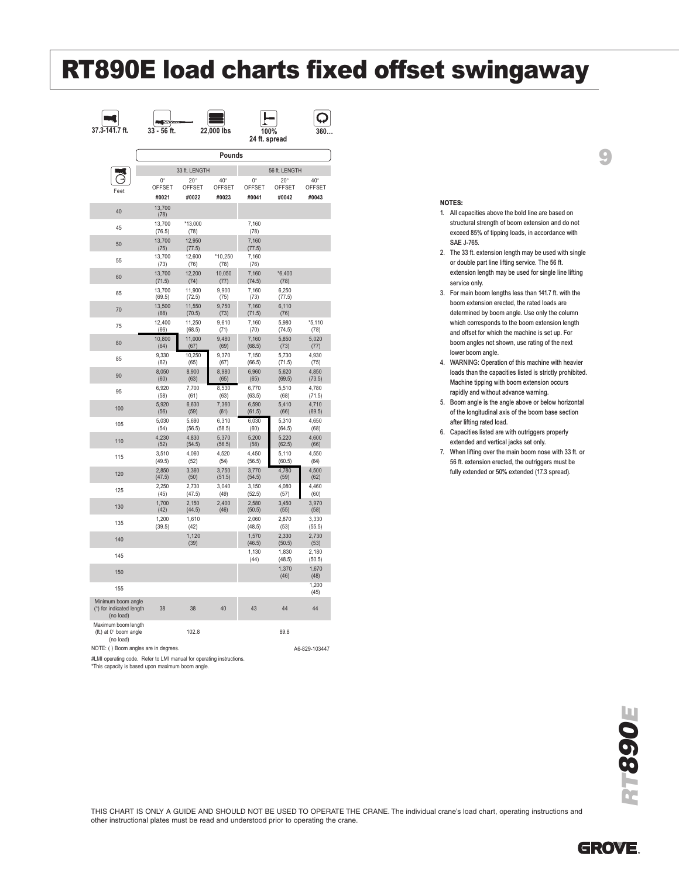## RT890E load charts fixed offset swingaway

| 37.3-141.7 ft.                                             | 33 - 56 ft.        |                  | 22,000 lbs      | 24 ft. spread      | 100%            |                     |
|------------------------------------------------------------|--------------------|------------------|-----------------|--------------------|-----------------|---------------------|
|                                                            |                    |                  | Pounds          |                    |                 |                     |
|                                                            |                    | 33 ft. LENGTH    |                 |                    | 56 ft. LENGTH   |                     |
|                                                            | 0<br><b>OFFSET</b> | 20<br>OFFSET     | 40<br>OFFSET    | $\Omega$<br>OFFSET | 20<br>OFFSET    | 40<br><b>OFFSET</b> |
| Feet                                                       | #0021              | #0022            | #0023           | #0041              | #0042           | #0043               |
| 40                                                         | 13,700<br>(78)     |                  |                 |                    |                 |                     |
| 45                                                         | 13,700<br>(76.5)   | *13,000<br>(78)  |                 | 7,160<br>(78)      |                 |                     |
| 50                                                         | 13,700<br>(75)     | 12,950<br>(77.5) |                 | 7,160<br>(77.5)    |                 |                     |
| 55                                                         | 13,700<br>(73)     | 12,600<br>(76)   | *10,250<br>(78) | 7,160<br>(76)      |                 |                     |
| 60                                                         | 13,700             | 12,200           | 10,050          | 7,160<br>(74.5)    | $*6,400$        |                     |
| 65                                                         | (71.5)<br>13,700   | (74)<br>11,900   | (77)<br>9,900   | 7,160              | (78)<br>6,250   |                     |
|                                                            | (69.5)<br>13,500   | (72.5)<br>11,550 | (75)<br>9,750   | (73)<br>7,160      | (77.5)<br>6,110 |                     |
| 70                                                         | (68)               | (70.5)           | (73)            | (71.5)             | (76)            |                     |
| 75                                                         | 12,400<br>(66)     | 11,250<br>(68.5) | 9,610<br>(71)   | 7,160<br>(70)      | 5,980<br>(74.5) | *5,110<br>(78)      |
| 80                                                         | 10,800<br>(64)     | 11,000<br>(67)   | 9,480<br>(69)   | 7,160<br>(68.5)    | 5,850<br>(73)   | 5,020<br>(77)       |
| 85                                                         | 9,330<br>(62)      | 10,250<br>(65)   | 9,370<br>(67)   | 7,150<br>(66.5)    | 5,730<br>(71.5) | 4,930<br>(75)       |
| 90                                                         | 8.050<br>(60)      | 8,900<br>(63)    | 8.980<br>(65)   | 6,960<br>(65)      | 5,620<br>(69.5) | 4,850<br>(73.5)     |
| 95                                                         | 6,920<br>(58)      | 7,700<br>(61)    | 8,530<br>(63)   | 6,770<br>(63.5)    | 5,510<br>(68)   | 4,780<br>(71.5)     |
| 100                                                        | 5,920<br>(56)      | 6,630<br>(59)    | 7,360           | 6,590<br>(61.5)    | 5,410<br>(66)   | 4.710<br>(69.5)     |
| 105                                                        | 5,030              | 5,690            | (61)<br>6,310   | 6,030              | 5,310           | 4,650               |
| 110                                                        | (54)<br>4,230      | (56.5)<br>4,830  | (58.5)<br>5,370 | (60)<br>5,200      | (64.5)<br>5,220 | (68)<br>4,600       |
|                                                            | (52)<br>3,510      | (54.5)<br>4,060  | (56.5)<br>4,520 | (58)<br>4,450      | (62.5)<br>5,110 | (66)<br>4,550       |
| 115                                                        | (49.5)             | (52)             | (54)            | (56.5)             | (60.5)          | (64)                |
| 120                                                        | 2,850<br>(47.5)    | 3,360<br>(50)    | 3,750<br>(51.5) | 3,770<br>(54.5)    | 4,780<br>(59)   | 4,500<br>(62)       |
| 125                                                        | 2,250<br>(45)      | 2.730<br>(47.5)  | 3,040<br>(49)   | 3,150<br>(52.5)    | 4,080<br>(57)   | 4,460<br>(60)       |
| 130                                                        | 1.700<br>(42)      | 2.150<br>(44.5)  | 2,400<br>(46)   | 2,580<br>(50.5)    | 3,450<br>(55)   | 3,970<br>(58)       |
| 135                                                        | 1,200<br>(39.5)    | 1,610<br>(42)    |                 | 2,060<br>(48.5)    | 2,870<br>(53)   | 3,330<br>(55.5)     |
| 140                                                        |                    | 1,120<br>(39)    |                 | 1,570<br>(46.5)    | 2,330<br>(50.5) | 2,730<br>(53)       |
| 145                                                        |                    |                  |                 | 1,130<br>(44)      | 1,830<br>(48.5) | 2,180<br>(50.5)     |
| 150                                                        |                    |                  |                 |                    | 1.370           | 1.670               |
| 155                                                        |                    |                  |                 |                    | (46)            | (48)<br>1,200       |
| Minimum boom angle<br>() for indicated length<br>(no load) | 38                 | 38               | 40              | 43                 | 44              | (45)<br>44          |
| Maximum boom length<br>(ft.) at 0 boom angle<br>(no load)  |                    | 102.8            |                 |                    | 89.8            |                     |
| NOTE: ( ) Boom angles are in degrees.                      |                    |                  |                 |                    |                 | A6-829-103447       |

#LMI operating code. Refer to LMI manual for operating instructions.

\*This capacity is based upon maximum boom angle.

#### NOTES:

1. All capacities above the bold line are based on structural strength of boom extension and do not exceed 85% of tipping loads, in accordance with SAE J-765.

9

- 2. The 33 ft. extension length may be used with single or double part line lifting service. The 56 ft. extension length may be used for single line lifting service only.
- 3. For main boom lengths less than 141.7 ft. with the boom extension erected, the rated loads are determined by boom angle. Use only the column which corresponds to the boom extension length and offset for which the machine is set up. For boom angles not shown, use rating of the next lower boom angle.
- 4. WARNING: Operation of this machine with heavier loads than the capacities listed is strictly prohibited. Machine tipping with boom extension occurs rapidly and without advance warning.
- 5. Boom angle is the angle above or below horizontal of the longitudinal axis of the boom base section after lifting rated load.
- 6. Capacities listed are with outriggers properly extended and vertical jacks set only.
- 7. When lifting over the main boom nose with 33 ft. or 56 ft. extension erected, the outriggers must be fully extended or 50% extended (17.3 spread).

RT890E

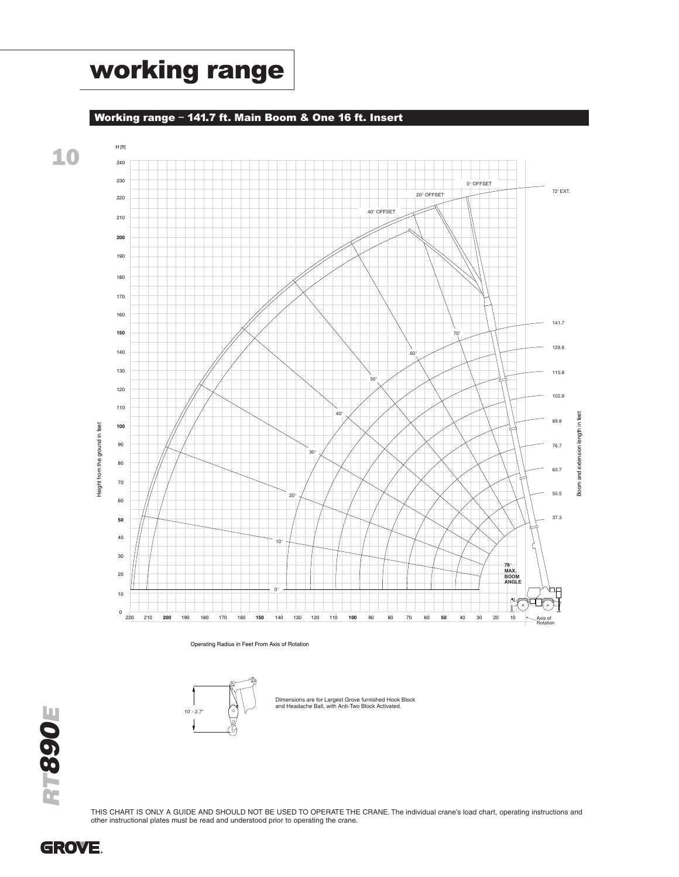## working range

Working range – 141.7 ft. Main Boom & One 16 ft. Insert



Operating Radius in Feet From Axis of Rotation



Dimensions are for Largest Grove furnished Hook Block and Headache Ball, with Anti-Two Block Activated.



THIS CHART IS ONLY A GUIDE AND SHOULD NOT BE USED TO OPERATE THE CRANE. The individual crane's load chart, operating instructions and other instructional plates must be read and understood prior to operating the crane.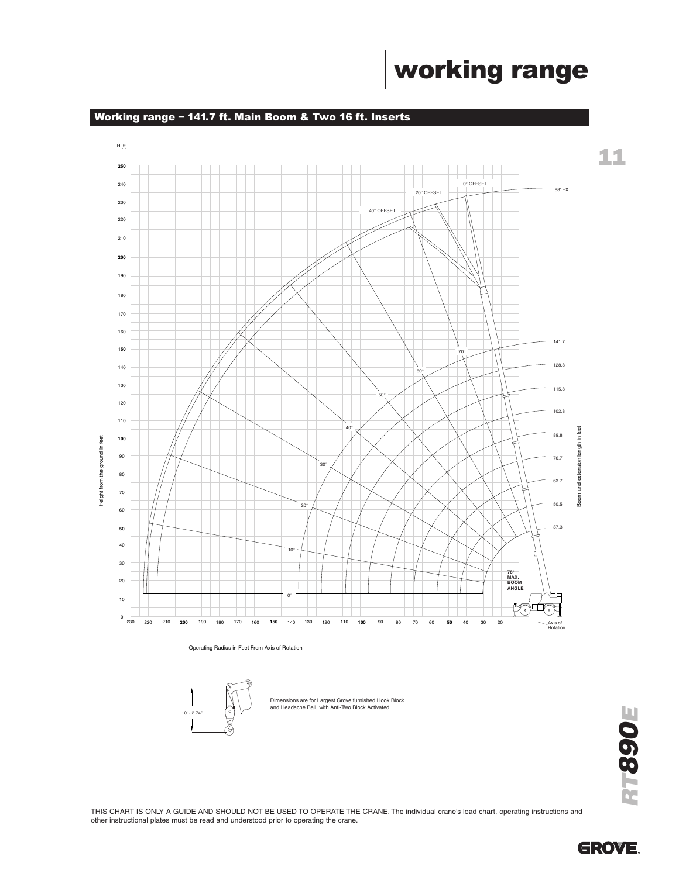#### Working range – 141.7 ft. Main Boom & Two 16 ft. Inserts



Operating Radius in Feet From Axis of Rotation



Dimensions are for Largest Grove furnished Hook Block and Headache Ball, with Anti-Two Block Activated.

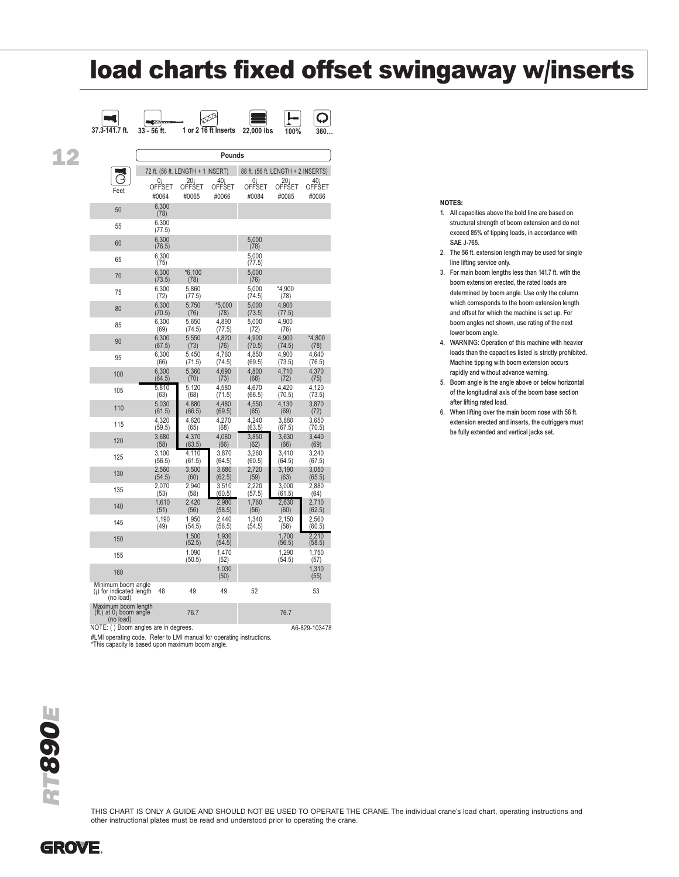## load charts fixed offset swingaway w/inserts

|    | 37.3-141.7 ft.                                               | 33 - 56 ft.                       |                  | 1 or 2 16 ft Inserts | 22,000 lbs      | 100%                               | 360             |
|----|--------------------------------------------------------------|-----------------------------------|------------------|----------------------|-----------------|------------------------------------|-----------------|
|    |                                                              |                                   |                  |                      |                 |                                    |                 |
| 12 |                                                              |                                   |                  | Pounds               |                 |                                    |                 |
|    |                                                              | 72 ft. (56 ft. LENGTH + 1 INSERT) |                  |                      |                 | 88 ft. (56 ft. LENGTH + 2 INSERTS) |                 |
|    | Feet                                                         | 0i<br>OFFSET                      | 20 i<br>OFFSET   | 40<br>OFFSET         | n<br>OFFSET     | 20 <sub>i</sub><br>OFFSET          | 40 i<br>OFFSET  |
|    |                                                              | #0064                             | #0065            | #0066                | #0084           | #0085                              | #0086           |
|    | 50                                                           | 6,300<br>(78)                     |                  |                      |                 |                                    |                 |
|    | 55                                                           | 6,300<br>(77.5)                   |                  |                      |                 |                                    |                 |
|    | 60                                                           | 6,300<br>(76.5)                   |                  |                      | 5,000<br>(78)   |                                    |                 |
|    | 65                                                           | 6.300<br>(75)                     |                  |                      | 5,000<br>(77.5) |                                    |                 |
|    | 70                                                           | 6.300<br>(73.5)                   | $*6,100$<br>(78) |                      | 5,000<br>(76)   |                                    |                 |
|    | 75                                                           | 6,300<br>(72)                     | 5,860<br>(77.5)  |                      | 5,000<br>(74.5) | *4.900<br>(78)                     |                 |
|    | 80                                                           | 6,300<br>(70.5)                   | 5,750<br>(76)    | $*5,000$<br>(78)     | 5,000<br>(73.5) | 4,900<br>(77.5)                    |                 |
|    | 85                                                           | 6.300<br>(69)                     | 5,650<br>(74.5)  | 4.890<br>(77.5)      | 5.000<br>(72)   | 4.900<br>(76)                      |                 |
|    | 90                                                           | 6,300<br>(67.5)                   | 5,550<br>(73)    | 4,820<br>(76)        | 4,900<br>(70.5) | 4,900<br>(74.5)                    | *4,800<br>(78)  |
|    | 95                                                           | 6,300<br>(66)                     | 5,450<br>(71.5)  | 4,760<br>(74.5)      | 4,850<br>(69.5) | 4,900<br>(73.5)                    | 4,640<br>(76.5) |
|    | 100                                                          | 6,300<br>(64.5)                   | 5,360<br>(70)    | 4,690<br>(73)        | 4,800<br>(68)   | 4,710<br>(72)                      | 4,370<br>(75)   |
|    | 105                                                          | 5,810<br>(63)                     | 5,120<br>(68)    | 4,580<br>(71.5)      | 4,670<br>(66.5) | 4,420<br>(70.5)                    | 4,120<br>(73.5) |
|    | 110                                                          | 5,030<br>(61.5)                   | 4.880<br>(66.5)  | 4.480<br>(69.5)      | 4.550<br>(65)   | 4.130<br>(69)                      | 3,870<br>(72)   |
|    | 115                                                          | 4,320<br>(59.5)                   | 4,620<br>(65)    | 4,270<br>(68)        | 4,240<br>(63.5) | 3,880<br>(67.5)                    | 3,650<br>(70.5) |
|    | 120                                                          | 3,680<br>(58)                     | 4,370<br>(63.5)  | 4,060<br>(66)        | 3,850<br>(62)   | 3,630<br>(66)                      | 3,440<br>(69)   |
|    | 125                                                          | 3,100<br>(56.5)                   | 4.110<br>(61.5)  | 3.870<br>(64.5)      | 3.260<br>(60.5) | 3.410<br>(64.5)                    | 3.240<br>(67.5) |
|    | 130                                                          | 2,560<br>(54.5)                   | 3,500<br>(60)    | 3,680<br>(62.5)      | 2,720<br>(59)   | 3,190<br>(63)                      | 3,050<br>(65.5) |
|    | 135                                                          | 2.070<br>(53)                     | 2.940<br>(58)    | 3.510<br>(60.5)      | 2,220<br>(57.5) | 3.000<br>(61.5)                    | 2.880<br>(64)   |
|    | 140                                                          | 1,610<br>(51)                     | 2,420<br>(56)    | 2,980<br>(58.5)      | 1,760<br>(56)   | 2,630<br>(60)                      | 2,710<br>(62.5) |
|    | 145                                                          | 1,190<br>(49)                     | 1.950<br>(54.5)  | 2.440<br>(56.5)      | 1,340<br>(54.5) | 2.150<br>(58)                      | 2,560<br>(60.5) |
|    | 150                                                          |                                   | 1.500<br>(52.5)  | 1.930<br>(54.5)      |                 | 1.700<br>(56.5)                    | 2.210<br>(58.5) |
|    | 155                                                          |                                   | 1,090<br>(50.5)  | 1.470<br>(52)        |                 | 1,290<br>(54.5)                    | 1,750<br>(57)   |
|    | 160                                                          |                                   |                  | 1,030<br>(50)        |                 |                                    | 1,310<br>(55)   |
|    | Minimum boom angle<br>(i) for indicated length<br>(no load)  | 48                                | 49               | 49                   | 52              |                                    | 53              |
|    | Maximum boom length<br>(ft.) at $0i$ boom angle<br>(no load) |                                   | 76.7             |                      |                 | 76.7                               |                 |
|    | NOTE: () Boom angles are in degrees.                         |                                   |                  |                      |                 |                                    | A6-829-103478   |

#LMI operating code. Refer to LMI manual for operating instructions. \*This capacity is based upon maximum boom angle.

# RT890E

THIS CHART IS ONLY A GUIDE AND SHOULD NOT BE USED TO OPERATE THE CRANE. The individual crane's load chart, operating instructions and other instructional plates must be read and understood prior to operating the crane.

NOTES:

- 1. All capacities above the bold line are based on structural strength of boom extension and do not exceed 85% of tipping loads, in accordance with SAE J-765.
- 2. The 56 ft. extension length may be used for single line lifting service only.
- 3. For main boom lengths less than 141.7 ft. with the boom extension erected, the rated loads are determined by boom angle. Use only the column which corresponds to the boom extension length and offset for which the machine is set up. For boom angles not shown, use rating of the next lower boom angle.
- 4. WARNING: Operation of this machine with heavier loads than the capacities listed is strictly prohibited. Machine tipping with boom extension occurs rapidly and without advance warning.
- 5. Boom angle is the angle above or below horizontal of the longitudinal axis of the boom base section after lifting rated load.
- 6. When lifting over the main boom nose with 56 ft. extension erected and inserts, the outriggers must be fully extended and vertical jacks set.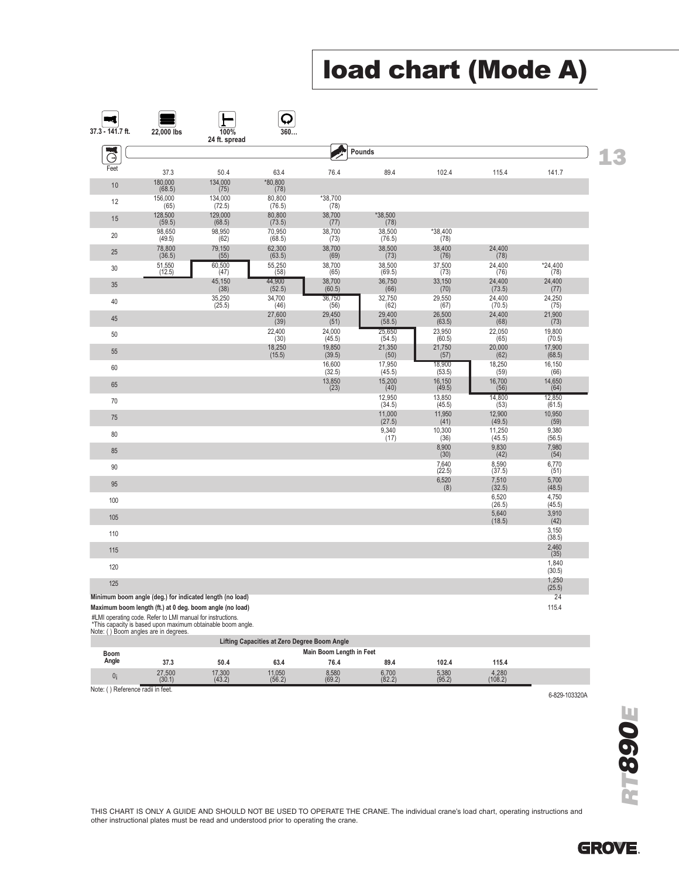## load chart (Mode A)

| $37.3 - 141.7$ ft. | 22,000 lbs           | 100%<br>24 ft. spread                                    | 360                    |                                 |                            |                               |                              |                         |
|--------------------|----------------------|----------------------------------------------------------|------------------------|---------------------------------|----------------------------|-------------------------------|------------------------------|-------------------------|
| ⊝                  |                      |                                                          |                        |                                 | Pounds                     |                               |                              |                         |
| Feet               | 37.3                 | 50.4                                                     | 63.4                   | 76.4                            | 89.4                       | 102.4                         | 115.4                        | 141.7                   |
| 10                 | 180,000<br>(68.5)    | 134,000<br>(75)                                          | *80,800<br>(78)        |                                 |                            |                               |                              |                         |
| 12                 | 156,000<br>(65)      | 134,000<br>(72.5)                                        | 80,800<br>(76.5)       | *38,700<br>(78)                 |                            |                               |                              |                         |
| 15                 | 128,500<br>(59.5)    | 129,000<br>(68.5)                                        | 80,800<br>(73.5)       | 38,700<br>(77)                  | *38,500<br>(78)            |                               |                              |                         |
| $20\,$             | 98,650<br>(49.5)     | 98,950<br>(62)                                           | 70,950<br>(68.5)       | 38,700<br>(73)                  | 38,500<br>(76.5)           | *38,400<br>(78)               |                              |                         |
| 25                 | $78,800$<br>$(36.5)$ | 79,150<br>(55)                                           | $62,300$<br>$(63.5)$   | 38,700<br>(69)                  | $38,500$<br>(73)           | $38,400$<br>(76)              | 24,400<br>(78)               |                         |
| 30                 | 51,550<br>(12.5)     | $\frac{60,500}{(47)}$                                    | 55,250<br>(58)         | 38,700<br>(65)                  | 38,500<br>(69.5)           | $\frac{37,500}{(73)}$         | 24,400<br>(76)               | $*24,400$<br>(78)       |
| 35                 |                      | 45,150<br>(38)                                           | 44,900<br>(52.5)       | 38,700<br>(60.5)                | 36,750<br>(66)             | 33,150<br>(70)                | 24,400<br>(73.5)             | 24,400<br>(77)          |
| 40                 |                      | 35,250                                                   | 34,700                 | 36,750                          | 32,750                     | 29,550<br>(67)                | 24,400<br>(70.5)             | 24,250<br>(75)          |
| 45                 |                      | (25.5)                                                   | (46)<br>27,600<br>(39) | (56)<br>29,450<br>(51)          | (62)<br>29,400<br>(58.5)   | 26,500<br>(63.5)              | 24,400<br>(68)               | 21,900<br>(73)          |
| 50                 |                      |                                                          | 22,400                 | 24,000                          | 25,650                     | 23,950                        | 22,050                       | 19,800                  |
| 55                 |                      |                                                          | (30)<br>18,250         | (45.5)<br>19,850                | (54.5)<br>21,350           | (60.5)<br>21,750              | (65)<br>20,000               | (70.5)<br>17,900        |
| 60                 |                      |                                                          | (15.5)                 | (39.5)<br>16,600                | (50)<br>17,950             | (57)<br>18,900                | (62)<br>18,250               | (68.5)<br>16,150        |
| 65                 |                      |                                                          |                        | (32.5)<br>$\frac{13,850}{(23)}$ | (45.5)<br>$15,200$<br>(40) | (53.5)<br>$16,150$<br>(49.5)  | (59)<br>16,700<br>(56)       | (66)<br>14,650          |
| 70                 |                      |                                                          |                        |                                 | 12,950                     | 13,850                        | 14,800                       | (64)<br>12,850          |
| 75                 |                      |                                                          |                        |                                 | (34.5)<br>11,000           | (45.5)<br>11,950              | (53)<br>12,900               | (61.5)<br>10,950        |
| 80                 |                      |                                                          |                        |                                 | (27.5)<br>9,340            | (41)<br>$\frac{10,300}{(36)}$ | (49.5)<br>$11,250$<br>(45.5) | (59)<br>9,380           |
| 85                 |                      |                                                          |                        |                                 | (17)                       | $8,900$<br>$(30)$             | $9,830$<br>(42)              | (56.5)<br>7,980<br>(54) |
| $90\,$             |                      |                                                          |                        |                                 |                            | $7,640$<br>(22.5)             | $8,590$<br>(37.5)            | 6,770                   |
| 95                 |                      |                                                          |                        |                                 |                            | 6,520                         | 7,510                        | (51)<br>5,700           |
| 100                |                      |                                                          |                        |                                 |                            | (8)                           | (32.5)<br>6,520              | (48.5)<br>4,750         |
| 105                |                      |                                                          |                        |                                 |                            |                               | (26.5)<br>5,640              | (45.5)<br>3,910         |
| 110                |                      |                                                          |                        |                                 |                            |                               | (18.5)                       | (42)<br>3,150           |
| 115                |                      |                                                          |                        |                                 |                            |                               |                              | (38.5)<br>2,460         |
| 120                |                      |                                                          |                        |                                 |                            |                               |                              | (35)<br>1,840           |
| 125                |                      |                                                          |                        |                                 |                            |                               |                              | (30.5)<br>1,250         |
|                    |                      | Minimum boom angle (deg.) for indicated length (no load) |                        |                                 |                            |                               |                              | (25.5)<br>24            |
|                    |                      | Maximum boom length (ft.) at 0 deg. boom angle (no load) |                        |                                 |                            |                               |                              | 115.4                   |

#LMI operating code. Refer to LMI manual for instructions. \*This capacity is based upon maximum obtainable boom angle. Note: ( ) Boom angles are in degrees.

|                                      |                          |                  | Lifting Capacities at Zero Degree Boom Angle |                 |                 |                 |                  |              |  |  |
|--------------------------------------|--------------------------|------------------|----------------------------------------------|-----------------|-----------------|-----------------|------------------|--------------|--|--|
| Boom                                 | Main Boom Length in Feet |                  |                                              |                 |                 |                 |                  |              |  |  |
| Angle                                | 37.3                     | 50.4             | 63.4                                         | 76.4            | 89.4            | 102.4           | 115.4            |              |  |  |
|                                      | 27.500<br>(30.1)         | 17.300<br>(43.2) | 11,050<br>(56.2)                             | 8,580<br>(69.2) | 6.700<br>(82.2) | 5.380<br>(95.2) | 4,280<br>(108.2) |              |  |  |
| ') Reference radii in feet.<br>Note: |                          |                  |                                              |                 |                 |                 |                  | 0.0001000001 |  |  |

6-829-103320A

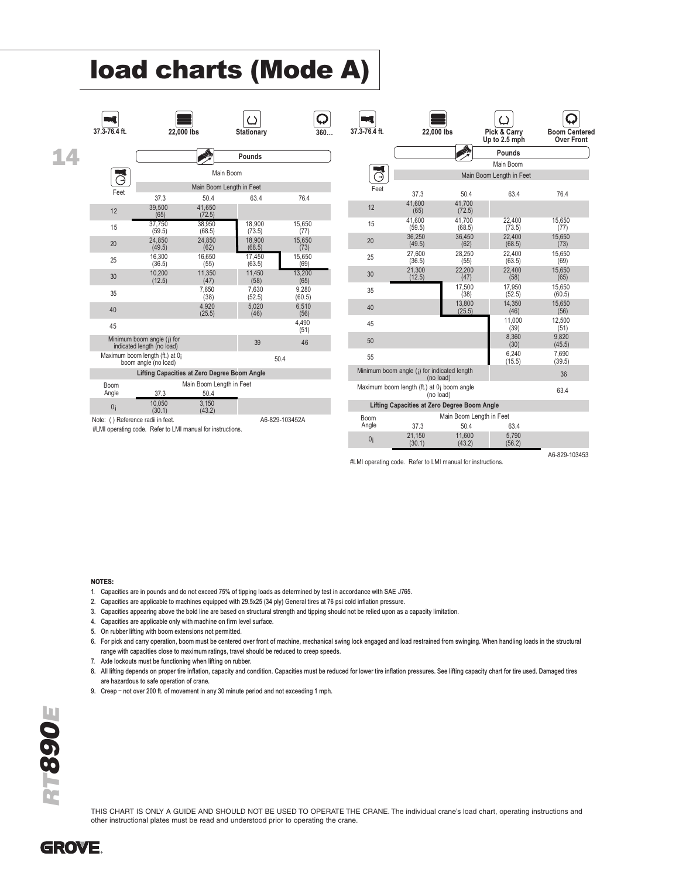## load charts (Mode A)

| $37.3 - 76.4$ ft.                                     | 22,000 lbs                                                 |                                  | Stationary       | 360             | 37.3-76.4 ft.  | 22.000 lbs                                               |                          | Pick & Carry<br>Up to 2.5 mph | <b>Boom Centered</b><br><b>Over Front</b> |
|-------------------------------------------------------|------------------------------------------------------------|----------------------------------|------------------|-----------------|----------------|----------------------------------------------------------|--------------------------|-------------------------------|-------------------------------------------|
|                                                       |                                                            |                                  | Pounds           |                 |                |                                                          | <b>ANTIS</b>             | Pounds                        |                                           |
|                                                       |                                                            |                                  |                  |                 | ч              |                                                          |                          | Main Boom                     |                                           |
| - 4<br>Θ                                              |                                                            | Main Boom                        |                  |                 | Θ              |                                                          |                          | Main Boom Length in Feet      |                                           |
| Feet                                                  |                                                            | Main Boom Length in Feet         |                  |                 | Feet           |                                                          |                          |                               |                                           |
|                                                       | 37.3                                                       | 50.4                             | 63.4             | 76.4            |                | 37.3<br>41.600                                           | 50.4<br>41.700           | 63.4                          | 76.4                                      |
| 12                                                    | 39,500<br>(65)                                             | 41,650<br>(72.5)                 |                  |                 | 12             | (65)                                                     | (72.5)                   |                               |                                           |
| 15                                                    | 37.750<br>(59.5)                                           | 38.950<br>(68.5)                 | 18.900<br>(73.5) | 15.650<br>(77)  | 15             | 41.600<br>(59.5)                                         | 41.700<br>(68.5)         | 22.400<br>(73.5)              | 15.650<br>(77)                            |
| 20                                                    | 24.850                                                     | 24.850                           | 18.900           | 15,650          | 20             | 36,250<br>(49.5)                                         | 36,450<br>(62)           | 22,400<br>(68.5)              | 15,650<br>(73)                            |
|                                                       | (49.5)<br>16.300                                           | (62)<br>16,650                   | (68.5)<br>17.450 | (73)<br>15,650  | 25             | 27,600                                                   | 28,250                   | 22,400                        | 15,650                                    |
| 25                                                    | (36.5)                                                     | (55)                             | (63.5)           | (69)            |                | (36.5)                                                   | (55)                     | (63.5)                        | (69)                                      |
| 30                                                    | 10.200<br>(12.5)                                           | 11,350<br>(47)                   | 11,450<br>(58)   | 13,200<br>(65)  | 30             | 21,300<br>(12.5)                                         | 22,200<br>(47)           | 22,400<br>(58)                | 15,650<br>(65)                            |
| 35                                                    |                                                            | 7,650<br>(38)                    | 7,630<br>(52.5)  | 9,280<br>(60.5) | 35             |                                                          | 17.500<br>(38)           | 17,950<br>(52.5)              | 15.650<br>(60.5)                          |
| 40                                                    |                                                            | 4,920<br>(25.5)                  | 5,020<br>(46)    | 6,510<br>(56)   | 40             |                                                          | 13,800<br>(25.5)         | 14,350<br>(46)                | 15,650<br>(56)                            |
| 45                                                    |                                                            |                                  |                  | 4,490<br>(51)   | 45             |                                                          |                          | 11,000<br>(39)                | 12,500<br>(51)                            |
|                                                       | Minimum boom angle (;) for<br>indicated length (no load)   |                                  | 39               | 46              | 50             |                                                          |                          | 8,360<br>(30)                 | 9,820<br>(45.5)                           |
|                                                       | Maximum boom length (ft.) at 0;<br>boom angle (no load)    |                                  |                  | 50.4            | 55             |                                                          |                          | 6,240<br>(15.5)               | 7.690<br>(39.5)                           |
|                                                       | <b>Lifting Capacities at Zero Degree Boom Angle</b>        |                                  |                  |                 |                | Minimum boom angle (i) for indicated length<br>(no load) |                          |                               | 36                                        |
| <b>Boom</b><br>Angle                                  | 37.3                                                       | Main Boom Length in Feet<br>50.4 |                  |                 |                | Maximum boom length (ft.) at 0; boom angle<br>(no load)  |                          |                               | 63.4                                      |
| 3.150<br>10.050<br>0 <sub>i</sub><br>(30.1)<br>(43.2) |                                                            |                                  |                  |                 |                | Lifting Capacities at Zero Degree Boom Angle             |                          |                               |                                           |
| Note: () Reference radii in feet.                     |                                                            |                                  |                  | A6-829-103452A  | Boom           |                                                          | Main Boom Length in Feet |                               |                                           |
|                                                       | #LMI operating code. Refer to LMI manual for instructions. |                                  |                  |                 | Angle          | 37.3                                                     | 50.4                     | 63.4                          |                                           |
|                                                       |                                                            |                                  |                  |                 | 0 <sub>i</sub> | 21,150<br>(30.1)                                         | 11.600<br>(43.2)         | 5.790<br>(56.2)               |                                           |

#LMI operating code. Refer to LMI manual for instructions.

A6-829-103453

- NOTES: 1. Capacities are in pounds and do not exceed 75% of tipping loads as determined by test in accordance with SAE J765.
- 2. Capacities are applicable to machines equipped with 29.5x25 (34 ply) General tires at 76 psi cold inflation pressure.
- 3. Capacities appearing above the bold line are based on structural strength and tipping should not be relied upon as a capacity limitation.
- 4. Capacities are applicable only with machine on firm level surface.
- 5. On rubber lifting with boom extensions not permitted.
- 6. For pick and carry operation, boom must be centered over front of machine, mechanical swing lock engaged and load restrained from swinging. When handling loads in the structural range with capacities close to maximum ratings, travel should be reduced to creep speeds.
- 7. Axle lockouts must be functioning when lifting on rubber.
- 8. All lifting depends on proper tire inflation, capacity and condition. Capacities must be reduced for lower tire inflation pressures. See lifting capacity chart for tire used. Damaged tires are hazardous to safe operation of crane.
- 9. Creep not over 200 ft. of movement in any 30 minute period and not exceeding 1 mph.

THIS CHART IS ONLY A GUIDE AND SHOULD NOT BE USED TO OPERATE THE CRANE. The individual crane's load chart, operating instructions and other instructional plates must be read and understood prior to operating the crane.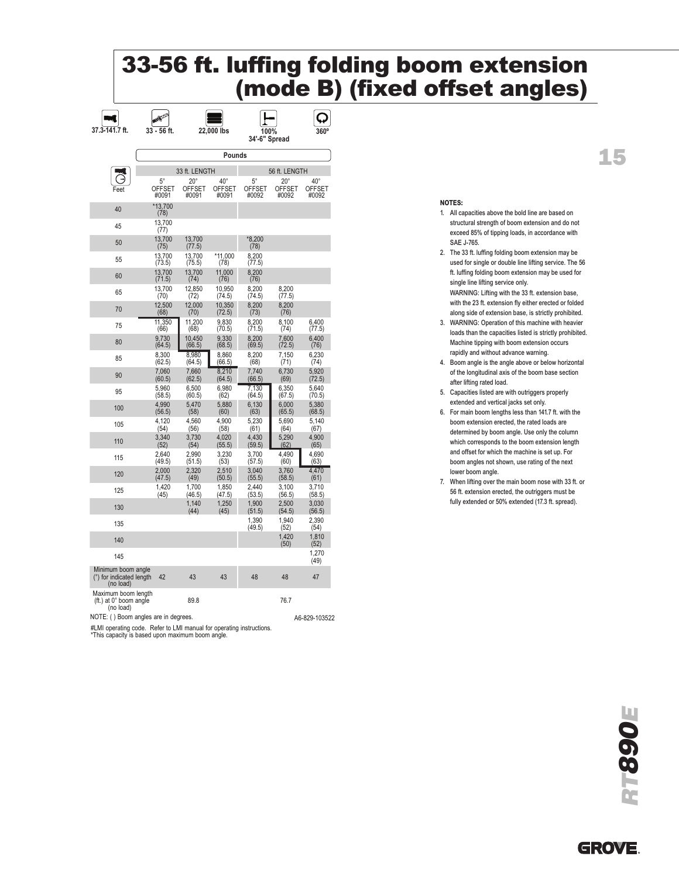## 33-56 ft. luffing folding boom extension (mode B) (fixed offset angles)

| 37.3-141.7 ft.                                              | 33 - 56 ft.                           |                                        | 22,000 lbs                             | 100%<br>34'-6" Spread                 |                                        | 360                                    |
|-------------------------------------------------------------|---------------------------------------|----------------------------------------|----------------------------------------|---------------------------------------|----------------------------------------|----------------------------------------|
|                                                             |                                       |                                        | Pounds                                 |                                       |                                        |                                        |
|                                                             |                                       | 33 ft. LENGTH                          |                                        |                                       | 56 ft. LENGTH                          |                                        |
| Feet                                                        | $5^{\circ}$<br><b>OFFSET</b><br>#0091 | $20^{\circ}$<br><b>OFFSET</b><br>#0091 | $40^{\circ}$<br><b>OFFSET</b><br>#0091 | $5^{\circ}$<br><b>OFFSET</b><br>#0092 | $20^{\circ}$<br><b>OFFSET</b><br>#0092 | $40^{\circ}$<br><b>OFFSET</b><br>#0092 |
| 40                                                          | *13.700<br>(78)                       |                                        |                                        |                                       |                                        |                                        |
| 45                                                          | 13.700<br>(77)                        |                                        |                                        |                                       |                                        |                                        |
| 50                                                          | 13,700<br>(75)                        | 13,700<br>(77.5)                       |                                        | *8.200<br>(78)                        |                                        |                                        |
| 55                                                          | 13,700<br>(73.5)                      | 13,700<br>(75.5)                       | *11,000<br>(78)                        | 8,200<br>(77.5)                       |                                        |                                        |
| 60                                                          | 13,700<br>(71.5)                      | 13,700<br>(74)                         | 11.000<br>(76)                         | 8.200<br>(76)                         |                                        |                                        |
| 65                                                          | 13,700<br>(70)                        | 12,850<br>(72)                         | 10.950<br>(74.5)                       | 8,200<br>(74.5)                       | 8.200<br>(77.5)                        |                                        |
| 70                                                          | 12,500<br>(68)                        | 12.000<br>(70)                         | 10,350<br>(72.5)                       | 8.200<br>(73)                         | 8.200<br>(76)                          |                                        |
| 75                                                          | 11.350<br>(66)                        | 11.200<br>(68)                         | 9.830<br>(70.5)                        | 8.200<br>(71.5)                       | 8.100<br>(74)                          | 6.400<br>(77.5)                        |
| 80                                                          | 9,730<br>(64.5)                       | 10.450<br>(66.5)                       | 9.330<br>(68.5)                        | 8.200<br>(69.5)                       | 7,600<br>(72.5)                        | 6.400<br>(76)                          |
| 85                                                          | 8,300<br>(62.5)                       | 8,980<br>(64.5)                        | 8,860<br>(66.5)                        | 8,200<br>(68)                         | 7,150<br>(71)                          | 6,230<br>(74)                          |
| 90                                                          | 7,060<br>(60.5)                       | 7,660<br>(62.5)                        | 8,210<br>(64.5)                        | 7,740<br>(66.5)                       | 6,730<br>(69)                          | 5,920<br>(72.5)                        |
| 95                                                          | 5,960<br>(58.5)                       | 6,500<br>(60.5)                        | 6,980<br>(62)                          | 7,130<br>(64.5)                       | 6,350<br>(67.5)                        | 5,640<br>(70.5)                        |
| 100                                                         | 4,990<br>(56.5)                       | 5.470<br>(58)                          | 5,880<br>(60)                          | 6,130<br>(63)                         | 6,000<br>(65.5)                        | 5,380<br>(68.5)                        |
| 105                                                         | 4,120<br>(54)                         | 4.560<br>(56)                          | 4.900<br>(58)                          | 5.230<br>(61)                         | 5.690<br>(64)                          | 5,140<br>(67)                          |
| 110                                                         | 3,340<br>(52)                         | 3.730<br>(54)                          | 4.020<br>(55.5)                        | 4.430<br>(59.5)                       | 5.290<br>(62)                          | 4.900<br>(65)                          |
| 115                                                         | 2.640<br>(49.5)                       | 2.990<br>(51.5)                        | 3.230<br>(53)                          | 3.700<br>(57.5)                       | 4.490<br>(60)                          | 4.690<br>(63)                          |
| 120                                                         | 2.000<br>(47.5)                       | 2.320<br>(49)                          | 2.510<br>(50.5)                        | 3.040<br>(55.5)                       | 3.760<br>(58.5)                        | 4.470<br>(61)                          |
| 125                                                         | 1,420<br>(45)                         | 1,700<br>(46.5)                        | 1,850<br>(47.5)                        | 2,440<br>(53.5)                       | 3,100<br>(56.5)                        | 3,710<br>(58.5)                        |
| 130                                                         |                                       | 1,140<br>(44)                          | 1,250<br>(45)                          | 1,900<br>(51.5)                       | 2,500<br>(54.5)                        | 3,030<br>(56.5)                        |
| 135                                                         |                                       |                                        |                                        | 1,390<br>(49.5)                       | 1,940<br>(52)                          | 2,390<br>(54)                          |
| 140                                                         |                                       |                                        |                                        |                                       | 1,420<br>(50)                          | 1,810<br>(52)                          |
| 145                                                         |                                       |                                        |                                        |                                       |                                        | 1,270<br>(49)                          |
| Minimum boom angle<br>(°) for indicated length<br>(no load) | 42                                    | 43                                     | 43                                     | 48                                    | 48                                     | 47                                     |
| Maximum boom length<br>(ft.) at 0° boom angle               |                                       | 89.8                                   |                                        |                                       | 76.7                                   |                                        |

(no load)

NOTE: () Boom angles are in degrees. A6-829-103522

#LMI operating code. Refer to LMI manual for operating instructions. \*This capacity is based upon maximum boom angle.

#### NOTES:

- 1. All capacities above the bold line are based on structural strength of boom extension and do not exceed 85% of tipping loads, in accordance with SAE J-765.
- 2. The 33 ft. luffing folding boom extension may be used for single or double line lifting service. The 56 ft. luffing folding boom extension may be used for single line lifting service only. WARNING: Lifting with the 33 ft. extension base,

with the 23 ft. extension fly either erected or folded along side of extension base, is strictly prohibited.

- 3. WARNING: Operation of this machine with heavier loads than the capacities listed is strictly prohibited. Machine tipping with boom extension occurs rapidly and without advance warning.
- 4. Boom angle is the angle above or below horizontal of the longitudinal axis of the boom base section after lifting rated load.
- 5. Capacities listed are with outriggers properly extended and vertical jacks set only.
- 6. For main boom lengths less than 141.7 ft. with the boom extension erected, the rated loads are determined by boom angle. Use only the column which corresponds to the boom extension length and offset for which the machine is set up. For boom angles not shown, use rating of the next lower boom angle.
- 7. When lifting over the main boom nose with 33 ft. or 56 ft. extension erected, the outriggers must be fully extended or 50% extended (17.3 ft. spread).

## 15



RT890E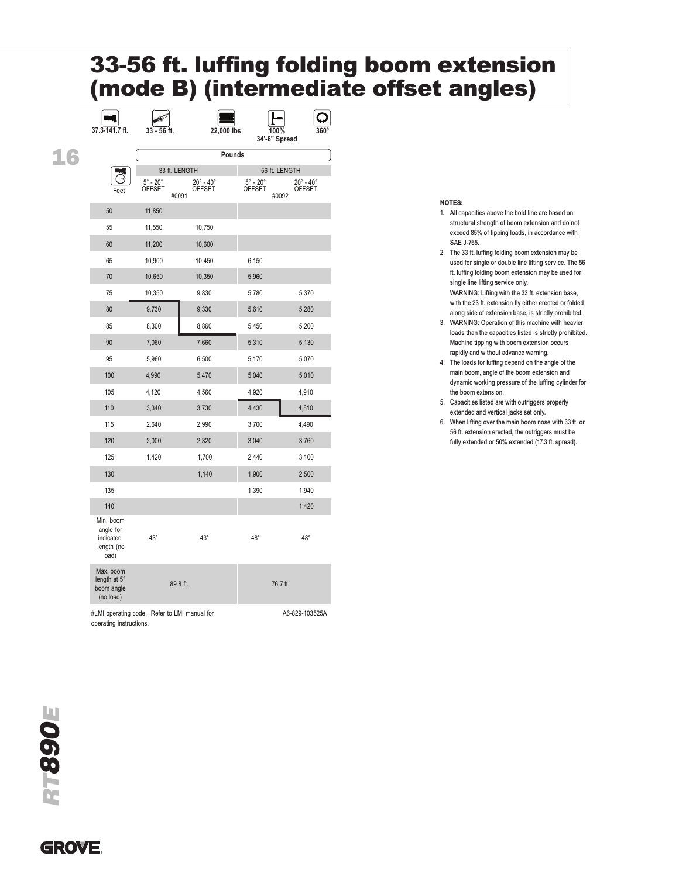## 33-56 ft. luffing folding boom extension (mode B) (intermediate offset angles)

|     | 37.3-141.7 ft.                                             | 33 - 56 ft.                   | 22,000 lbs                                        |                                  | $560^\circ$<br>100%<br>34'-6" Spread       |  |
|-----|------------------------------------------------------------|-------------------------------|---------------------------------------------------|----------------------------------|--------------------------------------------|--|
| - 6 |                                                            | Pounds                        |                                                   |                                  |                                            |  |
|     |                                                            |                               | 33 ft. LENGTH                                     |                                  | 56 ft. LENGTH                              |  |
|     | Feet                                                       | $5^\circ$ - $20^\circ$ OFFSET | $20^\circ$ - $40^\circ$<br><b>OFFSET</b><br>#0091 | $5^\circ$ - $20^\circ$<br>OFFSET | $20^\circ$ - $40^\circ$<br>OFFSET<br>#0092 |  |
|     | 50                                                         | 11,850                        |                                                   |                                  |                                            |  |
|     | 55                                                         | 11,550                        | 10,750                                            |                                  |                                            |  |
|     | 60                                                         | 11,200                        | 10,600                                            |                                  |                                            |  |
|     | 65                                                         | 10,900                        | 10,450                                            | 6,150                            |                                            |  |
|     | 70                                                         | 10,650                        | 10,350                                            | 5,960                            |                                            |  |
|     | 75                                                         | 10,350                        | 9,830                                             | 5,780                            | 5,370                                      |  |
|     | 80                                                         | 9,730                         | 9,330                                             | 5,610                            | 5,280                                      |  |
|     | 85                                                         | 8,300                         | 8,860                                             | 5,450                            | 5,200                                      |  |
|     | 90                                                         | 7,060                         | 7,660                                             | 5,310                            | 5,130                                      |  |
|     | 95                                                         | 5,960                         | 6,500                                             | 5,170                            | 5,070                                      |  |
|     | 100                                                        | 4,990                         | 5,470                                             | 5,040                            | 5,010                                      |  |
|     | 105                                                        | 4,120                         | 4,560                                             | 4,920                            | 4,910                                      |  |
|     | 110                                                        | 3,340                         | 3,730                                             | 4,430                            | 4,810                                      |  |
|     | 115                                                        | 2,640                         | 2,990                                             | 3,700                            | 4,490                                      |  |
|     | 120                                                        | 2,000                         | 2,320                                             | 3,040                            | 3,760                                      |  |
|     | 125                                                        | 1,420                         | 1,700                                             | 2,440                            | 3,100                                      |  |
|     | 130                                                        |                               | 1,140                                             | 1,900                            | 2,500                                      |  |
|     | 135                                                        |                               |                                                   | 1,390                            | 1,940                                      |  |
|     | 140                                                        |                               |                                                   |                                  | 1,420                                      |  |
|     | Min. boom<br>angle for<br>indicated<br>length (no<br>load) | $43^\circ$                    | $43^\circ$                                        | $48^\circ$                       | $48^\circ$                                 |  |
|     | Max. boom<br>length at 5°<br>boom angle<br>(no load)       |                               | 89.8 ft.                                          |                                  | 76.7 ft.                                   |  |
|     |                                                            |                               |                                                   |                                  |                                            |  |

#LMI operating code. Refer to LMI manual for operating instructions. A6-829-103525A

#### NOTES:

- 1. All capacities above the bold line are based on structural strength of boom extension and do not exceed 85% of tipping loads, in accordance with SAE J-765.
- 2. The 33 ft. luffing folding boom extension may be used for single or double line lifting service. The 56 ft. luffing folding boom extension may be used for single line lifting service only. WARNING: Lifting with the 33 ft. extension base,

with the 23 ft. extension fly either erected or folded along side of extension base, is strictly prohibited.

- 3. WARNING: Operation of this machine with heavier loads than the capacities listed is strictly prohibited. Machine tipping with boom extension occurs rapidly and without advance warning.
- 4. The loads for luffing depend on the angle of the main boom, angle of the boom extension and dynamic working pressure of the luffing cylinder for the boom extension.
- 5. Capacities listed are with outriggers properly extended and vertical jacks set only.
- 6. When lifting over the main boom nose with 33 ft. or 56 ft. extension erected, the outriggers must be fully extended or 50% extended (17.3 ft. spread).

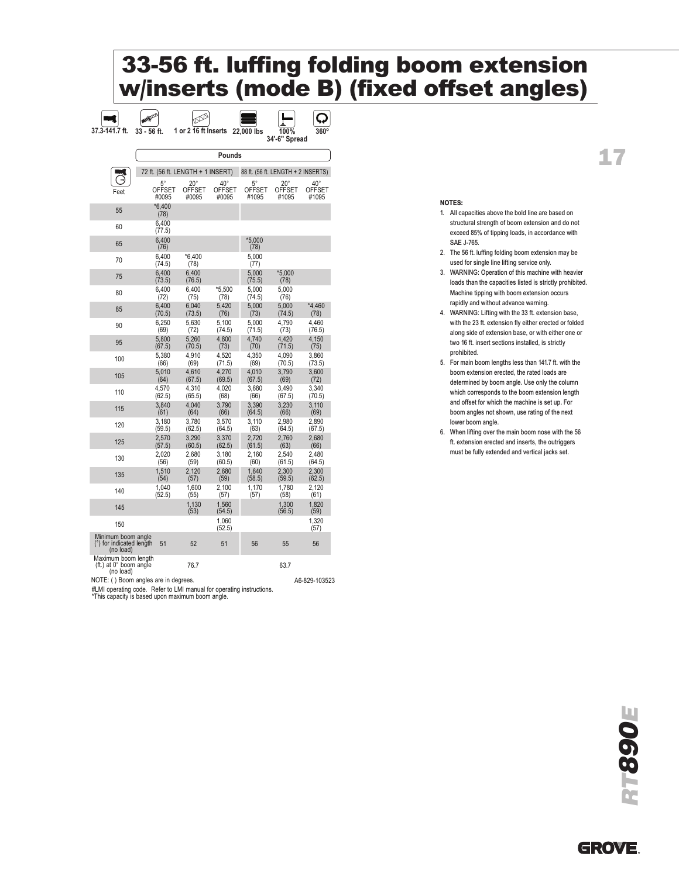## 33-56 ft. luffing folding boom extension w/inserts (mode B) (fixed offset angles)

| 37.3-141.7 ft.                                              | 33 - 56 ft.                       | 1 or 2 16 ft Inserts    |                         | 22,000 lbs             | 100%<br>34'-6" Spread              | 360°                    |
|-------------------------------------------------------------|-----------------------------------|-------------------------|-------------------------|------------------------|------------------------------------|-------------------------|
|                                                             |                                   |                         | Pounds                  |                        |                                    |                         |
|                                                             | 72 ft. (56 ft. LENGTH + 1 INSERT) |                         |                         |                        | 88 ft. (56 ft. LENGTH + 2 INSERTS) |                         |
|                                                             | 5°                                | $20^{\circ}$            | $40^{\circ}$            | $5^{\circ}$            | $20^{\circ}$                       | 40°                     |
| Feet                                                        | <b>OFFSET</b><br>#0095            | OFFSET<br>#0095         | OFFSET<br>#0095         | <b>OFFSET</b><br>#1095 | <b>OFFSET</b><br>#1095             | <b>OFFSET</b><br>#1095  |
| 55                                                          | $*6.400$<br>(78)                  |                         |                         |                        |                                    |                         |
| 60                                                          | 6,400<br>(77.5)                   |                         |                         |                        |                                    |                         |
| 65                                                          | 6.400<br>(76)                     |                         |                         | $*5.000$<br>(78)       |                                    |                         |
| 70                                                          | 6.400<br>(74.5)                   | *6.400<br>(78)          |                         | 5.000<br>(77)          |                                    |                         |
| 75                                                          | 6,400<br>(73.5)                   | 6,400<br>(76.5)         |                         | 5,000<br>(75.5)        | $*5,000$<br>(78)                   |                         |
| 80                                                          | 6,400<br>(72)                     | 6,400<br>(75)           | *5.500<br>(78)          | 5,000<br>(74.5)        | 5,000<br>(76)                      |                         |
| 85                                                          | 6,400<br>(70.5)                   | 6,040<br>(73.5)         | 5,420<br>(76)           | 5,000<br>(73)          | 5,000<br>(74.5)                    | *4,460<br>(78)          |
| 90                                                          | 6.250<br>(69)                     | 5.630<br>(72)           | 5.100<br>(74.5)         | 5.000<br>(71.5)        | 4.790<br>(73)                      | 4.460<br>(76.5)         |
| 95                                                          | 5.800                             | 5.260                   | 4,800                   | 4.740                  | 4.420                              | 4,150                   |
| 100                                                         | (67.5)<br>5,380<br>(66)           | (70.5)<br>4.910<br>(69) | (73)<br>4,520<br>(71.5) | (70)<br>4.350<br>(69)  | (71.5)<br>4.090<br>(70.5)          | (75)<br>3.860<br>(73.5) |
| 105                                                         | 5,010<br>(64)                     | 4,610<br>(67.5)         | 4.270<br>(69.5)         | 4.010<br>(67.5)        | 3.790<br>(69)                      | 3,600<br>(72)           |
| 110                                                         | 4,570<br>(62.5)                   | 4,310<br>(65.5)         | 4,020<br>(68)           | 3,680<br>(66)          | 3,490<br>(67.5)                    | 3,340<br>(70.5)         |
| 115                                                         | 3,840<br>(61)                     | 4.040<br>(64)           | 3,790<br>(66)           | 3,390<br>(64.5)        | 3.230<br>(66)                      | 3,110<br>(69)           |
| 120                                                         | 3,180                             | 3,780                   | 3,570                   | 3,110                  | 2,980                              | 2,890                   |
| 125                                                         | (59.5)<br>2,570                   | (62.5)<br>3.290         | (64.5)<br>3.370         | (63)<br>2.720          | (64.5)<br>2.760                    | (67.5)<br>2.680         |
| 130                                                         | (57.5)<br>2,020                   | (60.5)<br>2,680         | (62.5)<br>3,180         | (61.5)<br>2,160        | (63)<br>2.540                      | (66)<br>2.480           |
| 135                                                         | (56)<br>1,510                     | (59)<br>2,120           | (60.5)<br>2,680         | (60)<br>1,640          | (61.5)<br>2,300                    | (64.5)<br>2,300         |
| 140                                                         | (54)<br>1,040                     | (57)<br>1,600           | (59)<br>2,100           | (58.5)<br>1.170        | (59.5)<br>1,780                    | (62.5)<br>2.120         |
|                                                             | (52.5)                            | (55)<br>1,130           | (57)<br>1.560           | (57)                   | (58)<br>1,300                      | (61)<br>1.820           |
| 145                                                         |                                   | (53)                    | (54.5)<br>1,060         |                        | (56.5)                             | (59)<br>1,320           |
| 150                                                         |                                   |                         | (52.5)                  |                        |                                    | (57)                    |
| Minimum boom angle<br>(°) for indicated length<br>(no load) | 51                                | 52                      | 51                      | 56                     | 55                                 | 56                      |
| Maximum boom length<br>(ft.) at 0° boom angle<br>(no load)  |                                   | 76.7                    |                         |                        | 63.7                               |                         |
| NOTE: () Boom angles are in degrees.                        |                                   |                         |                         |                        |                                    | A6-829-103523           |

NOTES:

1. All capacities above the bold line are based on structural strength of boom extension and do not exceed 85% of tipping loads, in accordance with SAE J-765.

17

- 2. The 56 ft. luffing folding boom extension may be used for single line lifting service only.
- 3. WARNING: Operation of this machine with heavier loads than the capacities listed is strictly prohibited. Machine tipping with boom extension occurs rapidly and without advance warning.
- 4. WARNING: Lifting with the 33 ft. extension base, with the 23 ft. extension fly either erected or folded along side of extension base, or with either one or two 16 ft. insert sections installed, is strictly prohibited.
- 5. For main boom lengths less than 141.7 ft. with the boom extension erected, the rated loads are determined by boom angle. Use only the column which corresponds to the boom extension length and offset for which the machine is set up. For boom angles not shown, use rating of the next lower boom angle.
- 6. When lifting over the main boom nose with the 56 ft. extension erected and inserts, the outriggers must be fully extended and vertical jacks set.

#LMI operating code. Refer to LMI manual for operating instructions. \*This capacity is based upon maximum boom angle.

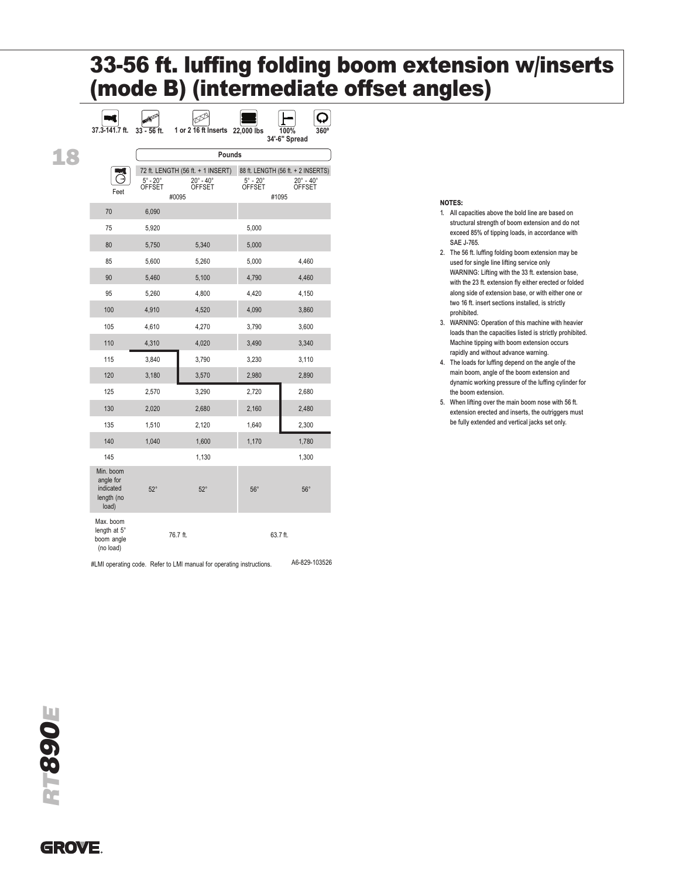## 33-56 ft. luffing folding boom extension w/inserts (mode B) (intermediate offset angles)

|     | 37.3-141.7 ft.                                             | $33 - 56$ ft.                           | 1 or 2 16 ft Inserts 22,000 lbs                 |                                         | 360°<br>100%                                    |  |  |
|-----|------------------------------------------------------------|-----------------------------------------|-------------------------------------------------|-----------------------------------------|-------------------------------------------------|--|--|
|     |                                                            |                                         |                                                 |                                         | 34'-6" Spread                                   |  |  |
| 1.8 |                                                            | Pounds                                  |                                                 |                                         |                                                 |  |  |
|     |                                                            |                                         | 72 ft. LENGTH (56 ft. + 1 INSERT)               |                                         | 88 ft. LENGTH (56 ft. + 2 INSERTS)              |  |  |
|     | Feet                                                       | $5^\circ$ - $20^\circ$<br><b>OFFSET</b> | $20^\circ - 40^\circ$<br><b>OFFSET</b><br>#0095 | $5^\circ$ - $20^\circ$<br><b>OFFSET</b> | $20^\circ - 40^\circ$<br><b>OFFSET</b><br>#1095 |  |  |
|     | 70                                                         | 6,090                                   |                                                 |                                         |                                                 |  |  |
|     | 75                                                         | 5,920                                   |                                                 | 5,000                                   |                                                 |  |  |
|     | 80                                                         | 5,750                                   | 5,340                                           | 5,000                                   |                                                 |  |  |
|     | 85                                                         | 5,600                                   | 5,260                                           | 5,000                                   | 4,460                                           |  |  |
|     | 90                                                         | 5,460                                   | 5,100                                           | 4,790                                   | 4,460                                           |  |  |
|     | 95                                                         | 5,260                                   | 4,800                                           | 4.420                                   | 4,150                                           |  |  |
|     | 100                                                        | 4,910                                   | 4,520                                           | 4,090                                   | 3,860                                           |  |  |
|     | 105                                                        | 4,610                                   | 4,270                                           | 3,790                                   | 3,600                                           |  |  |
|     | 110                                                        | 4,310                                   | 4,020                                           | 3,490                                   | 3,340                                           |  |  |
|     | 115                                                        | 3,840                                   | 3,790                                           | 3,230                                   | 3,110                                           |  |  |
|     | 120                                                        | 3,180                                   | 3,570                                           | 2,980                                   | 2,890                                           |  |  |
|     | 125                                                        | 2,570                                   | 3,290                                           | 2,720                                   | 2,680                                           |  |  |
|     | 130                                                        | 2,020                                   | 2,680                                           | 2,160                                   | 2,480                                           |  |  |
|     | 135                                                        | 1,510                                   | 2,120                                           | 1,640                                   | 2,300                                           |  |  |
|     | 140                                                        | 1,040                                   | 1,600                                           | 1,170                                   | 1,780                                           |  |  |
|     | 145                                                        |                                         | 1,130                                           |                                         | 1,300                                           |  |  |
|     | Min. boom<br>angle for<br>indicated<br>length (no<br>load) | $52^\circ$                              | $52^\circ$                                      | $56^\circ$                              | $56^\circ$                                      |  |  |
|     | Max. boom<br>length at 5°<br>boom angle<br>(no load)       |                                         | 76.7 ft.                                        |                                         | 63.7 ft.                                        |  |  |

#LMI operating code. Refer to LMI manual for operating instructions. A6-829-103526

#### NOTES:

- 1. All capacities above the bold line are based on structural strength of boom extension and do not exceed 85% of tipping loads, in accordance with SAE J-765.
- 2. The 56 ft. luffing folding boom extension may be used for single line lifting service only WARNING: Lifting with the 33 ft. extension base, with the 23 ft. extension fly either erected or folded along side of extension base, or with either one or two 16 ft. insert sections installed, is strictly prohibited.
- 3. WARNING: Operation of this machine with heavier loads than the capacities listed is strictly prohibited. Machine tipping with boom extension occurs rapidly and without advance warning.
- 4. The loads for luffing depend on the angle of the main boom, angle of the boom extension and dynamic working pressure of the luffing cylinder for the boom extension.
- 5. When lifting over the main boom nose with 56 ft. extension erected and inserts, the outriggers must be fully extended and vertical jacks set only.

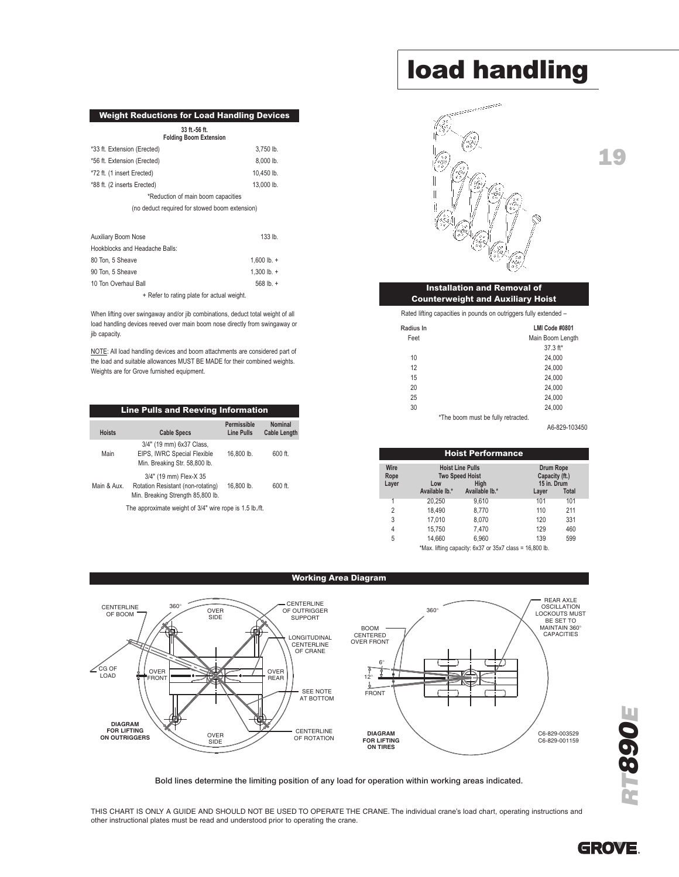#### Weight Reductions for Load Handling Devices

| 33 ft.-56 ft.<br><b>Folding Boom Extension</b> |            |  |  |  |  |
|------------------------------------------------|------------|--|--|--|--|
| *33 ft. Extension (Erected)                    | 3.750 lb.  |  |  |  |  |
| *56 ft. Extension (Erected)                    | 8,000 lb.  |  |  |  |  |
| *72 ft. (1 insert Erected)                     | 10.450 lb. |  |  |  |  |
| *88 ft. (2 inserts Erected)                    | 13.000 lb. |  |  |  |  |
| *Reduction of main boom capacities             |            |  |  |  |  |
| (no deduct required for stowed boom extension) |            |  |  |  |  |
|                                                |            |  |  |  |  |

| Auxiliary Boom Nose            | $133$ lb.        |
|--------------------------------|------------------|
| Hookblocks and Headache Balls: |                  |
| 80 Ton, 5 Sheave               | 1.600 lb. $+$    |
| 90 Ton, 5 Sheave               | 1.300 lb. $+$    |
| 10 Ton Overhaul Ball           | 568 $\vert$ b. + |
|                                |                  |

+ Refer to rating plate for actual weight.

When lifting over swingaway and/or jib combinations, deduct total weight of all load handling devices reeved over main boom nose directly from swingaway or jib capacity.

NOTE: All load handling devices and boom attachments are considered part of the load and suitable allowances MUST BE MADE for their combined weights. Weights are for Grove furnished equipment.

| <b>Line Pulls and Reeving Information</b>              |                                                                                                  |                                  |                                |  |
|--------------------------------------------------------|--------------------------------------------------------------------------------------------------|----------------------------------|--------------------------------|--|
| <b>Hoists</b>                                          | <b>Cable Specs</b>                                                                               | Permissible<br><b>Line Pulls</b> | Nominal<br><b>Cable Length</b> |  |
| Main                                                   | 3/4" (19 mm) 6x37 Class,<br>EIPS, IWRC Special Flexible<br>Min. Breaking Str. 58,800 lb.         | 16.800 lb.                       | 600 ft.                        |  |
| Main & Aux.                                            | 3/4" (19 mm) Flex-X 35<br>Rotation Resistant (non-rotating)<br>Min. Breaking Strength 85,800 lb. | 16.800 lb.                       | 600 ft.                        |  |
| The annrovimate weight of 3/4" wire rone is 1.5 lh /ft |                                                                                                  |                                  |                                |  |

The approximate weight of 3/4" wire rope is 1.5 lb./ft.

## load handling



#### Installation and Removal of Counterweight and Auxiliary Hoist

Rated lifting capacities in pounds on outriggers fully extended –

| Radius In | LMI Code #0801                     |
|-----------|------------------------------------|
| Feet      | Main Boom Length                   |
|           | $37.3$ ft*                         |
| 10        | 24,000                             |
| 12        | 24,000                             |
| 15        | 24,000                             |
| 20        | 24,000                             |
| 25        | 24,000                             |
| 30        | 24,000                             |
|           | *The boom must be fully retracted. |

A6-829-103450

|                       |                                                                  | <b>Hoist Performance</b>                                |                                                   |              |  |
|-----------------------|------------------------------------------------------------------|---------------------------------------------------------|---------------------------------------------------|--------------|--|
| Wire<br>Rope<br>Layer | <b>Hoist Line Pulls</b><br><b>Two Speed Hoist</b><br>Hiah<br>Low |                                                         | <b>Drum Rope</b><br>Capacity (ft.)<br>15 in. Drum |              |  |
|                       | Available lb.*                                                   | Available lb.*                                          | Layer                                             | <b>Total</b> |  |
| 1                     | 20.250                                                           | 9,610                                                   | 101                                               | 101          |  |
| 2                     | 18,490                                                           | 8.770                                                   | 110                                               | 211          |  |
| 3                     | 17.010                                                           | 8.070                                                   | 120                                               | 331          |  |
| $\overline{4}$        | 15,750                                                           | 7,470                                                   | 129                                               | 460          |  |
| 5                     | 14.660                                                           | 6.960                                                   | 139                                               | 599          |  |
|                       |                                                                  | *Max. lifting capacity: 6x37 or 35x7 class = 16,800 lb. |                                                   |              |  |



Bold lines determine the limiting position of any load for operation within working areas indicated.